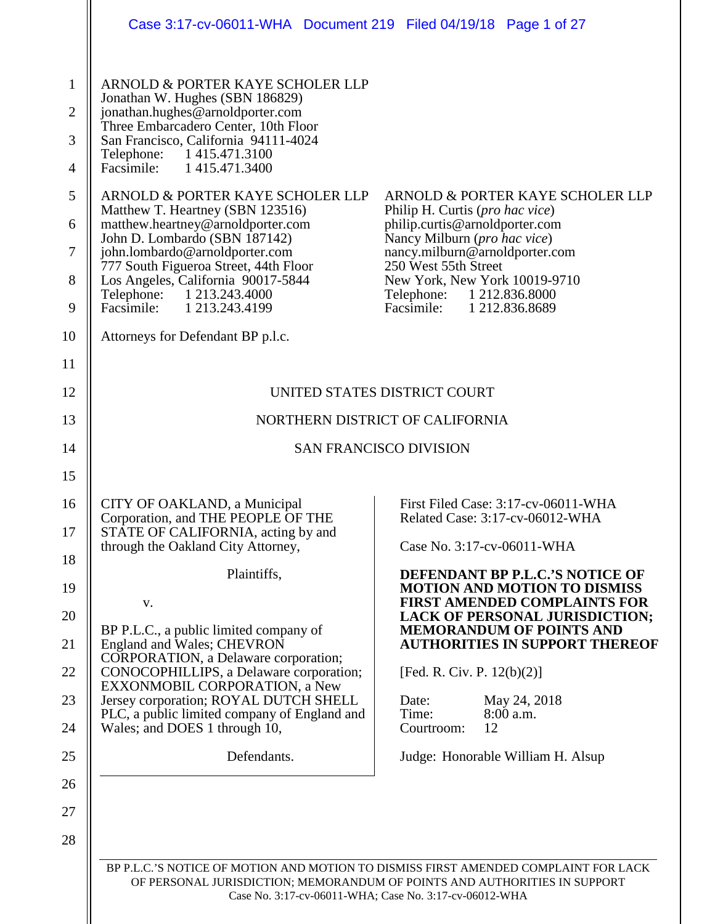| ARNOLD & PORTER KAYE SCHOLER LLP<br>Jonathan W. Hughes (SBN 186829)<br>jonathan.hughes@arnoldporter.com<br>Three Embarcadero Center, 10th Floor<br>San Francisco, California 94111-4024<br>Telephone: 1415.471.3100<br>Facsimile: 1 415.471.3400<br>ARNOLD & PORTER KAYE SCHOLER LLP<br>Matthew T. Heartney (SBN 123516)<br>Philip H. Curtis ( <i>pro hac vice</i> )<br>matthew.heartney@arnoldporter.com<br>philip.curtis@arnoldporter.com<br>John D. Lombardo (SBN 187142)<br>Nancy Milburn (pro hac vice)<br>john.lombardo@arnoldporter.com<br>nancy.milburn@arnoldporter.com<br>777 South Figueroa Street, 44th Floor<br>250 West 55th Street<br>Los Angeles, California 90017-5844<br>New York, New York 10019-9710<br>Telephone: 1 213.243.4000<br>Telephone: 1 212.836.8000<br>Facsimile:<br>Facsimile: 1 213.243.4199<br>1 212.836.8689<br>Attorneys for Defendant BP p.l.c.<br>UNITED STATES DISTRICT COURT<br>NORTHERN DISTRICT OF CALIFORNIA<br><b>SAN FRANCISCO DIVISION</b><br>CITY OF OAKLAND, a Municipal<br>First Filed Case: 3:17-cv-06011-WHA<br>Corporation, and THE PEOPLE OF THE<br>Related Case: 3:17-cv-06012-WHA<br>STATE OF CALIFORNIA, acting by and<br>Case No. 3:17-cv-06011-WHA<br>through the Oakland City Attorney,<br>Plaintiffs,<br>DEFENDANT BP P.L.C.'S NOTICE OF<br><b>MOTION AND MOTION TO DISMISS</b><br><b>FIRST AMENDED COMPLAINTS FOR</b><br>V.<br>BP P.L.C., a public limited company of<br><b>MEMORANDUM OF POINTS AND</b><br>England and Wales; CHEVRON<br>CORPORATION, a Delaware corporation;<br>CONOCOPHILLIPS, a Delaware corporation;<br>[Fed. R. Civ. P. $12(b)(2)$ ]<br>EXXONMOBIL CORPORATION, a New<br>Jersey corporation; ROYAL DUTCH SHELL<br>Date:<br>May 24, 2018<br>PLC, a public limited company of England and<br>Time:<br>8:00 a.m.<br>Wales; and DOES 1 through 10,<br>12<br>Courtroom:<br>Defendants.<br>Judge: Honorable William H. Alsup<br>BP P.L.C.'S NOTICE OF MOTION AND MOTION TO DISMISS FIRST AMENDED COMPLAINT FOR LACK<br>OF PERSONAL JURISDICTION; MEMORANDUM OF POINTS AND AUTHORITIES IN SUPPORT |                                                                                     | Case 3:17-cv-06011-WHA Document 219 Filed 04/19/18 Page 1 of 27 |                                                                                |
|-------------------------------------------------------------------------------------------------------------------------------------------------------------------------------------------------------------------------------------------------------------------------------------------------------------------------------------------------------------------------------------------------------------------------------------------------------------------------------------------------------------------------------------------------------------------------------------------------------------------------------------------------------------------------------------------------------------------------------------------------------------------------------------------------------------------------------------------------------------------------------------------------------------------------------------------------------------------------------------------------------------------------------------------------------------------------------------------------------------------------------------------------------------------------------------------------------------------------------------------------------------------------------------------------------------------------------------------------------------------------------------------------------------------------------------------------------------------------------------------------------------------------------------------------------------------------------------------------------------------------------------------------------------------------------------------------------------------------------------------------------------------------------------------------------------------------------------------------------------------------------------------------------------------------------------------------------------------------------------------------------------------------------------------------------------------------------|-------------------------------------------------------------------------------------|-----------------------------------------------------------------|--------------------------------------------------------------------------------|
|                                                                                                                                                                                                                                                                                                                                                                                                                                                                                                                                                                                                                                                                                                                                                                                                                                                                                                                                                                                                                                                                                                                                                                                                                                                                                                                                                                                                                                                                                                                                                                                                                                                                                                                                                                                                                                                                                                                                                                                                                                                                               | $\mathbf{1}$<br>$\overline{2}$<br>3<br>$\overline{4}$<br>5<br>6<br>$\tau$<br>8<br>9 |                                                                 | ARNOLD & PORTER KAYE SCHOLER LLP                                               |
|                                                                                                                                                                                                                                                                                                                                                                                                                                                                                                                                                                                                                                                                                                                                                                                                                                                                                                                                                                                                                                                                                                                                                                                                                                                                                                                                                                                                                                                                                                                                                                                                                                                                                                                                                                                                                                                                                                                                                                                                                                                                               | 10                                                                                  |                                                                 |                                                                                |
|                                                                                                                                                                                                                                                                                                                                                                                                                                                                                                                                                                                                                                                                                                                                                                                                                                                                                                                                                                                                                                                                                                                                                                                                                                                                                                                                                                                                                                                                                                                                                                                                                                                                                                                                                                                                                                                                                                                                                                                                                                                                               | 11<br>12                                                                            |                                                                 |                                                                                |
|                                                                                                                                                                                                                                                                                                                                                                                                                                                                                                                                                                                                                                                                                                                                                                                                                                                                                                                                                                                                                                                                                                                                                                                                                                                                                                                                                                                                                                                                                                                                                                                                                                                                                                                                                                                                                                                                                                                                                                                                                                                                               | 13                                                                                  |                                                                 |                                                                                |
|                                                                                                                                                                                                                                                                                                                                                                                                                                                                                                                                                                                                                                                                                                                                                                                                                                                                                                                                                                                                                                                                                                                                                                                                                                                                                                                                                                                                                                                                                                                                                                                                                                                                                                                                                                                                                                                                                                                                                                                                                                                                               | 14                                                                                  |                                                                 |                                                                                |
|                                                                                                                                                                                                                                                                                                                                                                                                                                                                                                                                                                                                                                                                                                                                                                                                                                                                                                                                                                                                                                                                                                                                                                                                                                                                                                                                                                                                                                                                                                                                                                                                                                                                                                                                                                                                                                                                                                                                                                                                                                                                               | 15<br>16<br>17<br>18<br>19<br>20<br>21<br>22<br>23<br>24<br>25<br>26<br>27          |                                                                 | <b>LACK OF PERSONAL JURISDICTION;</b><br><b>AUTHORITIES IN SUPPORT THEREOF</b> |
|                                                                                                                                                                                                                                                                                                                                                                                                                                                                                                                                                                                                                                                                                                                                                                                                                                                                                                                                                                                                                                                                                                                                                                                                                                                                                                                                                                                                                                                                                                                                                                                                                                                                                                                                                                                                                                                                                                                                                                                                                                                                               | 28                                                                                  |                                                                 |                                                                                |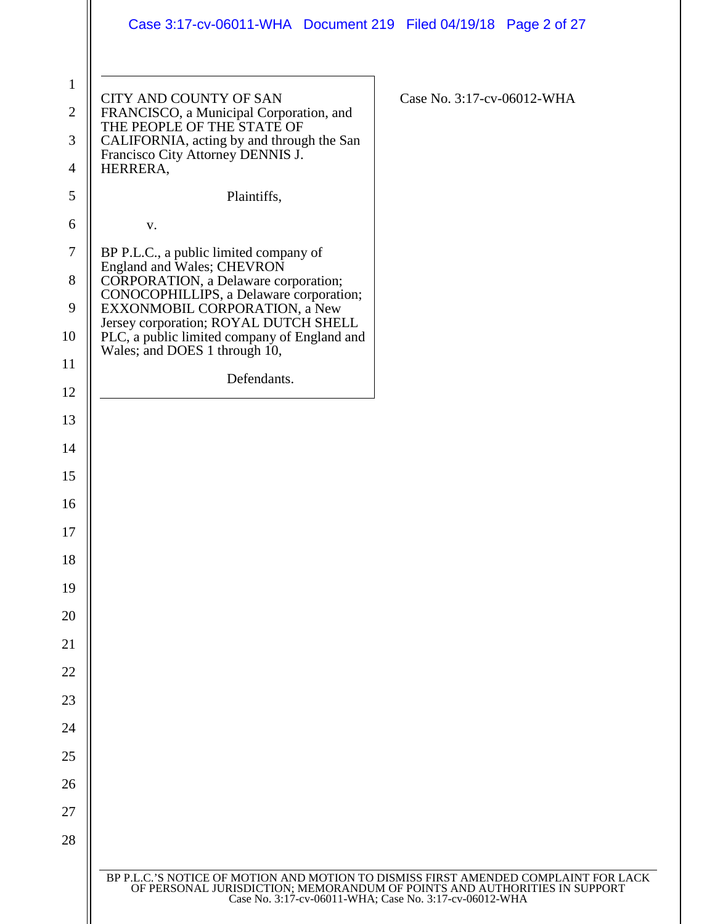|                                     | Case 3:17-cv-06011-WHA  Document 219  Filed 04/19/18  Page 2 of 27                                                                                                                                              |  |  |
|-------------------------------------|-----------------------------------------------------------------------------------------------------------------------------------------------------------------------------------------------------------------|--|--|
| $\mathbf{1}$<br>$\overline{2}$<br>3 | CITY AND COUNTY OF SAN<br>Case No. 3:17-cv-06012-WHA<br>FRANCISCO, a Municipal Corporation, and<br>THE PEOPLE OF THE STATE OF<br>CALIFORNIA, acting by and through the San<br>Francisco City Attorney DENNIS J. |  |  |
| 4                                   | HERRERA,                                                                                                                                                                                                        |  |  |
| 5                                   | Plaintiffs,                                                                                                                                                                                                     |  |  |
| 6                                   | V.                                                                                                                                                                                                              |  |  |
| $\tau$<br>8                         | BP P.L.C., a public limited company of<br>England and Wales; CHEVRON<br>CORPORATION, a Delaware corporation;<br>CONOCOPHILLIPS, a Delaware corporation;                                                         |  |  |
| 9                                   | EXXONMOBIL CORPORATION, a New<br>Jersey corporation; ROYAL DUTCH SHELL                                                                                                                                          |  |  |
| 10                                  | PLC, a public limited company of England and<br>Wales; and DOES 1 through 10,                                                                                                                                   |  |  |
| 11                                  | Defendants.                                                                                                                                                                                                     |  |  |
| 12                                  |                                                                                                                                                                                                                 |  |  |
| 13                                  |                                                                                                                                                                                                                 |  |  |
| 14                                  |                                                                                                                                                                                                                 |  |  |
| 15<br>16                            |                                                                                                                                                                                                                 |  |  |
| 17                                  |                                                                                                                                                                                                                 |  |  |
| 18                                  |                                                                                                                                                                                                                 |  |  |
| 19                                  |                                                                                                                                                                                                                 |  |  |
| 20                                  |                                                                                                                                                                                                                 |  |  |
| 21                                  |                                                                                                                                                                                                                 |  |  |
| 22                                  |                                                                                                                                                                                                                 |  |  |
| 23                                  |                                                                                                                                                                                                                 |  |  |
| 24                                  |                                                                                                                                                                                                                 |  |  |
| 25                                  |                                                                                                                                                                                                                 |  |  |
| 26                                  |                                                                                                                                                                                                                 |  |  |
| 27                                  |                                                                                                                                                                                                                 |  |  |
| 28                                  |                                                                                                                                                                                                                 |  |  |
|                                     | BP P.L.C.'S NOTICE OF MOTION AND MOTION TO DISMISS FIRST AMENDED COMPLAINT FOR LACK                                                                                                                             |  |  |
|                                     | OF PERSONAL JURISDICTION; MEMORANDUM OF POINTS AND AUTHORITIES IN SUPPORT<br>Case No. 3:17-cv-06011-WHA; Case No. 3:17-cv-06012-WHA                                                                             |  |  |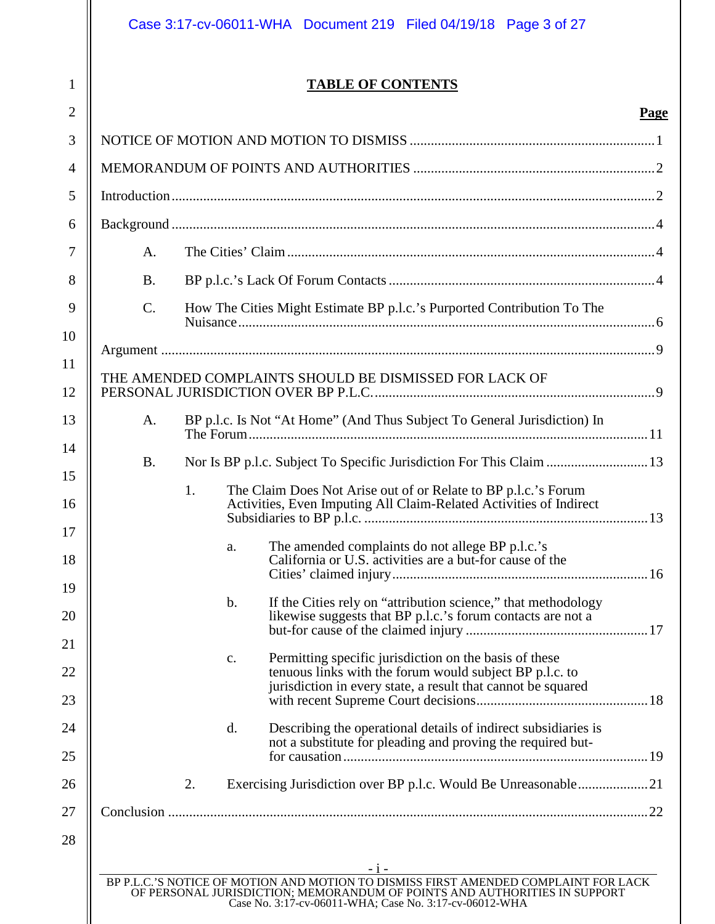1

# **TABLE OF CONTENTS**

|                 |                                                                                                                                                                                                                                     | <b>Page</b> |
|-----------------|-------------------------------------------------------------------------------------------------------------------------------------------------------------------------------------------------------------------------------------|-------------|
|                 |                                                                                                                                                                                                                                     |             |
|                 |                                                                                                                                                                                                                                     |             |
|                 |                                                                                                                                                                                                                                     |             |
|                 |                                                                                                                                                                                                                                     |             |
| A.              |                                                                                                                                                                                                                                     |             |
| <b>B.</b>       |                                                                                                                                                                                                                                     |             |
| $\mathcal{C}$ . | How The Cities Might Estimate BP p.l.c.'s Purported Contribution To The                                                                                                                                                             |             |
|                 |                                                                                                                                                                                                                                     |             |
|                 | THE AMENDED COMPLAINTS SHOULD BE DISMISSED FOR LACK OF                                                                                                                                                                              |             |
| A.              | BP p.l.c. Is Not "At Home" (And Thus Subject To General Jurisdiction) In                                                                                                                                                            |             |
| <b>B.</b>       | Nor Is BP p.l.c. Subject To Specific Jurisdiction For This Claim  13                                                                                                                                                                |             |
|                 | The Claim Does Not Arise out of or Relate to BP p.l.c.'s Forum<br>1.<br>Activities, Even Imputing All Claim-Related Activities of Indirect<br>The amended complaints do not allege BP p.l.c.'s<br>a.                                |             |
|                 | California or U.S. activities are a but-for cause of the                                                                                                                                                                            |             |
|                 | If the Cities rely on "attribution science," that methodology<br>$\mathbf b$ .<br>likewise suggests that BP p.l.c.'s forum contacts are not a                                                                                       |             |
|                 | Permitting specific jurisdiction on the basis of these<br>c.<br>tenuous links with the forum would subject BP p.l.c. to<br>jurisdiction in every state, a result that cannot be squared                                             |             |
|                 | d.<br>Describing the operational details of indirect subsidiaries is<br>not a substitute for pleading and proving the required but-                                                                                                 |             |
|                 | 2.                                                                                                                                                                                                                                  |             |
|                 |                                                                                                                                                                                                                                     |             |
|                 | $-1-$<br>BP P.L.C.'S NOTICE OF MOTION AND MOTION TO DISMISS FIRST AMENDED COMPLAINT FOR LACK<br>OF PERSONAL JURISDICTION; MEMORANDUM OF POINTS AND AUTHORITIES IN SUPPORT<br>Case No. 3:17-cv-06011-WHA; Case No. 3:17-cv-06012-WHA |             |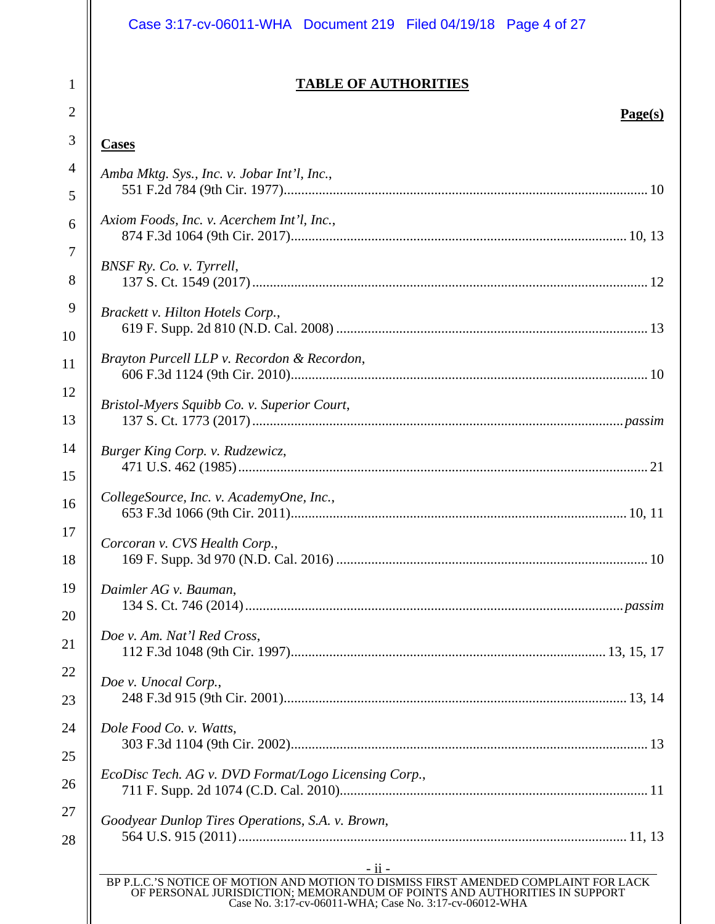# Case 3:17-cv-06011-WHA Document 219 Filed 04/19/18 Page 4 of 27

# **TABLE OF AUTHORITIES**

# **Page(s)**

# **Cases**

1

2

| $\overline{4}$ | Amba Mktg. Sys., Inc. v. Jobar Int'l, Inc.,                                                                                                                                                                                          |
|----------------|--------------------------------------------------------------------------------------------------------------------------------------------------------------------------------------------------------------------------------------|
| 5              |                                                                                                                                                                                                                                      |
| 6              | Axiom Foods, Inc. v. Acerchem Int'l, Inc.,                                                                                                                                                                                           |
| $\tau$         | BNSF Ry. Co. v. Tyrrell,                                                                                                                                                                                                             |
| 8              |                                                                                                                                                                                                                                      |
| 9              | Brackett v. Hilton Hotels Corp.,                                                                                                                                                                                                     |
| 10             |                                                                                                                                                                                                                                      |
| 11             | Brayton Purcell LLP v. Recordon & Recordon,                                                                                                                                                                                          |
| 12             | Bristol-Myers Squibb Co. v. Superior Court,                                                                                                                                                                                          |
| 13             |                                                                                                                                                                                                                                      |
| 14             | Burger King Corp. v. Rudzewicz,                                                                                                                                                                                                      |
| 15             |                                                                                                                                                                                                                                      |
| 16             | CollegeSource, Inc. v. AcademyOne, Inc.,                                                                                                                                                                                             |
| 17             | Corcoran v. CVS Health Corp.,                                                                                                                                                                                                        |
| 18             |                                                                                                                                                                                                                                      |
| 19             | Daimler AG v. Bauman,                                                                                                                                                                                                                |
| 20             |                                                                                                                                                                                                                                      |
| 21             | Doe v. Am. Nat'l Red Cross,                                                                                                                                                                                                          |
| 22             | Doe v. Unocal Corp.,                                                                                                                                                                                                                 |
| 23             |                                                                                                                                                                                                                                      |
| 24             | Dole Food Co. v. Watts,                                                                                                                                                                                                              |
| 25             |                                                                                                                                                                                                                                      |
| 26             | EcoDisc Tech. AG v. DVD Format/Logo Licensing Corp.,                                                                                                                                                                                 |
| 27             | Goodyear Dunlop Tires Operations, S.A. v. Brown,                                                                                                                                                                                     |
| 28             |                                                                                                                                                                                                                                      |
|                | - ii -<br>BP P.L.C.'S NOTICE OF MOTION AND MOTION TO DISMISS FIRST AMENDED COMPLAINT FOR LACK<br>OF PERSONAL JURISDICTION; MEMORANDUM OF POINTS AND AUTHORITIES IN SUPPORT<br>Case No. 3:17-cv-06011-WHA; Case No. 3:17-cv-06012-WHA |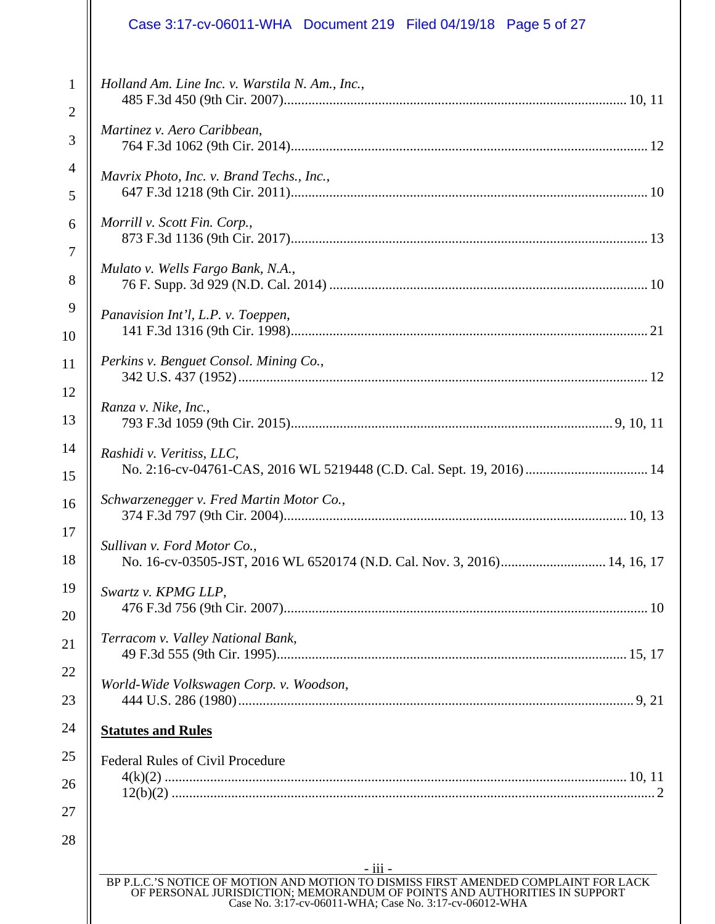# Case 3:17-cv-06011-WHA Document 219 Filed 04/19/18 Page 5 of 27

| $\mathbf{1}$<br>$\overline{2}$ | Holland Am. Line Inc. v. Warstila N. Am., Inc.,                                                                                                                                                                            |
|--------------------------------|----------------------------------------------------------------------------------------------------------------------------------------------------------------------------------------------------------------------------|
| 3                              | Martinez v. Aero Caribbean,                                                                                                                                                                                                |
| $\overline{4}$<br>5            | Mavrix Photo, Inc. v. Brand Techs., Inc.,                                                                                                                                                                                  |
| 6                              | Morrill v. Scott Fin. Corp.,                                                                                                                                                                                               |
| 7<br>8                         | Mulato v. Wells Fargo Bank, N.A.,                                                                                                                                                                                          |
| 9<br>10                        | Panavision Int'l, L.P. v. Toeppen,                                                                                                                                                                                         |
| 11                             | Perkins v. Benguet Consol. Mining Co.,                                                                                                                                                                                     |
| 12<br>13                       | Ranza v. Nike, Inc.,                                                                                                                                                                                                       |
| 14                             | Rashidi v. Veritiss, LLC,                                                                                                                                                                                                  |
| 15<br>16                       | No. 2:16-cv-04761-CAS, 2016 WL 5219448 (C.D. Cal. Sept. 19, 2016)  14<br>Schwarzenegger v. Fred Martin Motor Co.,                                                                                                          |
| 17                             | Sullivan v. Ford Motor Co.,                                                                                                                                                                                                |
| 18<br>19                       | No. 16-cv-03505-JST, 2016 WL 6520174 (N.D. Cal. Nov. 3, 2016) 14, 16, 17<br>Swartz v. KPMG LLP.                                                                                                                            |
| 20                             |                                                                                                                                                                                                                            |
| 21<br>22                       | Terracom v. Valley National Bank,                                                                                                                                                                                          |
| 23                             | World-Wide Volkswagen Corp. v. Woodson,                                                                                                                                                                                    |
| 24                             | <b>Statutes and Rules</b>                                                                                                                                                                                                  |
| 25                             | <b>Federal Rules of Civil Procedure</b>                                                                                                                                                                                    |
| 26<br>27                       |                                                                                                                                                                                                                            |
| 28                             |                                                                                                                                                                                                                            |
|                                | - iii -                                                                                                                                                                                                                    |
|                                | BP P.L.C.'S NOTICE OF MOTION AND MOTION TO DISMISS FIRST AMENDED COMPLAINT FOR LACK<br>OF PERSONAL JURISDICTION; MEMORANDUM OF POINTS AND AUTHORITIES IN SUPPORT<br>Case No. 3:17-cv-06011-WHA; Case No. 3:17-cv-06012-WHA |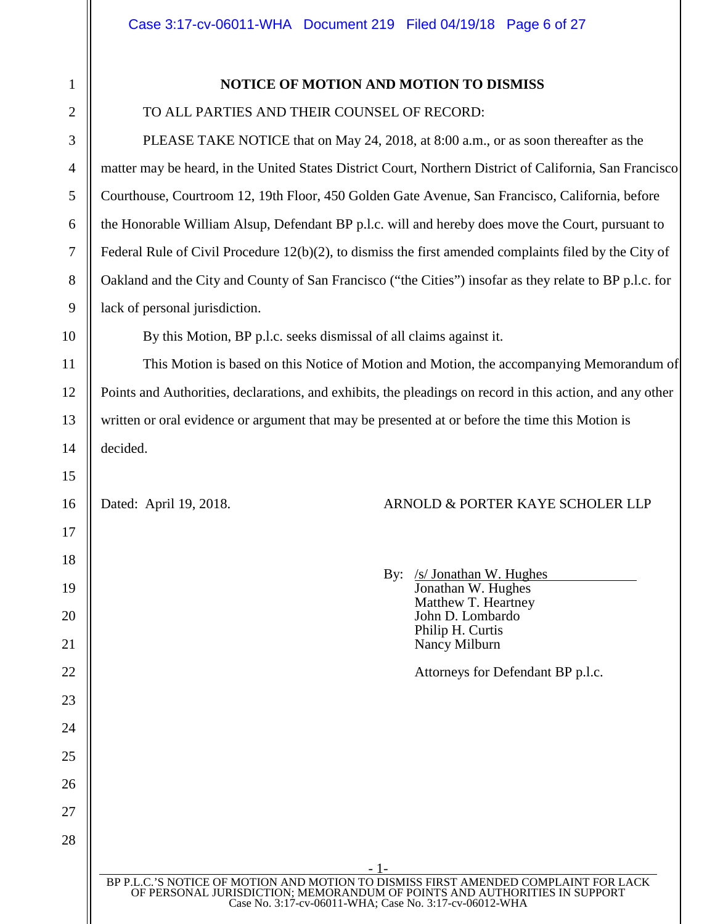# **NOTICE OF MOTION AND MOTION TO DISMISS**

## TO ALL PARTIES AND THEIR COUNSEL OF RECORD:

PLEASE TAKE NOTICE that on May 24, 2018, at 8:00 a.m., or as soon thereafter as the matter may be heard, in the United States District Court, Northern District of California, San Francisco Courthouse, Courtroom 12, 19th Floor, 450 Golden Gate Avenue, San Francisco, California, before the Honorable William Alsup, Defendant BP p.l.c. will and hereby does move the Court, pursuant to Federal Rule of Civil Procedure 12(b)(2), to dismiss the first amended complaints filed by the City of Oakland and the City and County of San Francisco ("the Cities") insofar as they relate to BP p.l.c. for lack of personal jurisdiction.

By this Motion, BP p.l.c. seeks dismissal of all claims against it.

This Motion is based on this Notice of Motion and Motion, the accompanying Memorandum of Points and Authorities, declarations, and exhibits, the pleadings on record in this action, and any other written or oral evidence or argument that may be presented at or before the time this Motion is decided.

# Dated: April 19, 2018. ARNOLD & PORTER KAYE SCHOLER LLP

| By: /s/ Jonathan W. Hughes<br>Jonathan W. Hughes<br>Matthew T. Heartney<br>John D. Lombardo<br>Philip H. Curtis<br>Nancy Milburn |
|----------------------------------------------------------------------------------------------------------------------------------|
| Attorneys for Defendant BP p.l.c.                                                                                                |
|                                                                                                                                  |
|                                                                                                                                  |
|                                                                                                                                  |
|                                                                                                                                  |

- 1- BP P.L.C.'S NOTICE OF MOTION AND MOTION TO DISMISS FIRST AMENDED COMPLAINT FOR LACK OF PERSONAL JURISDICTION; MEMORANDUM OF POINTS AND AUTHORITIES IN SUPPORT Case No. 3:17-cv-06011-WHA; Case No. 3:17-cv-06012-WHA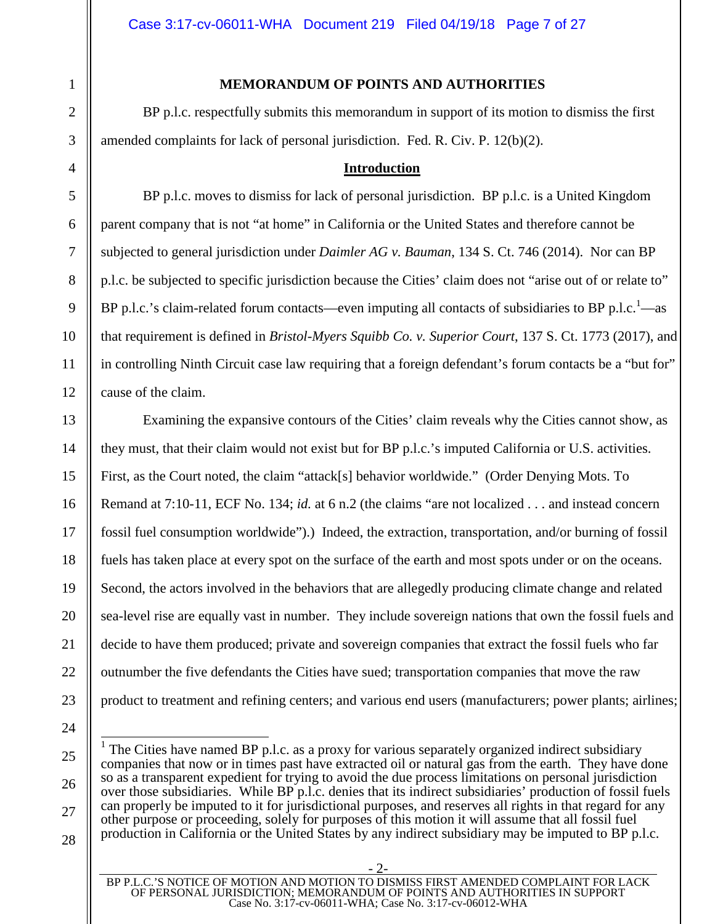#### **MEMORANDUM OF POINTS AND AUTHORITIES**

BP p.l.c. respectfully submits this memorandum in support of its motion to dismiss the first amended complaints for lack of personal jurisdiction. Fed. R. Civ. P. 12(b)(2).

#### **Introduction**

BP p.l.c. moves to dismiss for lack of personal jurisdiction. BP p.l.c. is a United Kingdom parent company that is not "at home" in California or the United States and therefore cannot be subjected to general jurisdiction under *Daimler AG v. Bauman*, 134 S. Ct. 746 (2014). Nor can BP p.l.c. be subjected to specific jurisdiction because the Cities' claim does not "arise out of or relate to" BP p.l.c.'s claim-related forum contacts—even imputing all contacts of subsidiaries to BP p.l.c.<sup>1</sup>—as that requirement is defined in *Bristol-Myers Squibb Co. v. Superior Court*, 137 S. Ct. 1773 (2017), and in controlling Ninth Circuit case law requiring that a foreign defendant's forum contacts be a "but for" cause of the claim.

Examining the expansive contours of the Cities' claim reveals why the Cities cannot show, as they must, that their claim would not exist but for BP p.l.c.'s imputed California or U.S. activities. First, as the Court noted, the claim "attack[s] behavior worldwide." (Order Denying Mots. To Remand at 7:10-11, ECF No. 134; *id.* at 6 n.2 (the claims "are not localized . . . and instead concern fossil fuel consumption worldwide").) Indeed, the extraction, transportation, and/or burning of fossil fuels has taken place at every spot on the surface of the earth and most spots under or on the oceans. Second, the actors involved in the behaviors that are allegedly producing climate change and related sea-level rise are equally vast in number. They include sovereign nations that own the fossil fuels and decide to have them produced; private and sovereign companies that extract the fossil fuels who far outnumber the five defendants the Cities have sued; transportation companies that move the raw product to treatment and refining centers; and various end users (manufacturers; power plants; airlines;

<sup>1</sup> The Cities have named BP p.l.c. as a proxy for various separately organized indirect subsidiary companies that now or in times past have extracted oil or natural gas from the earth. They have done so as a transparent expedient for trying to avoid the due process limitations on personal jurisdiction over those subsidiaries. While BP p.l.c. denies that its indirect subsidiaries' production of fossil fuels can properly be imputed to it for jurisdictional purposes, and reserves all rights in that regard for any other purpose or proceeding, solely for purposes of this motion it will assume that all fossil fuel production in California or the United States by any indirect subsidiary may be imputed to BP p.l.c.

<sup>- 2-</sup>  BP P.L.C.'S NOTICE OF MOTION AND MOTION TO DISMISS FIRST AMENDED COMPLAINT FOR LACK OF PERSONAL JURISDICTION; MEMORANDUM OF POINTS AND AUTHORITIES IN SUPPORT Case No. 3:17-cv-06011-WHA; Case No. 3:17-cv-06012-WHA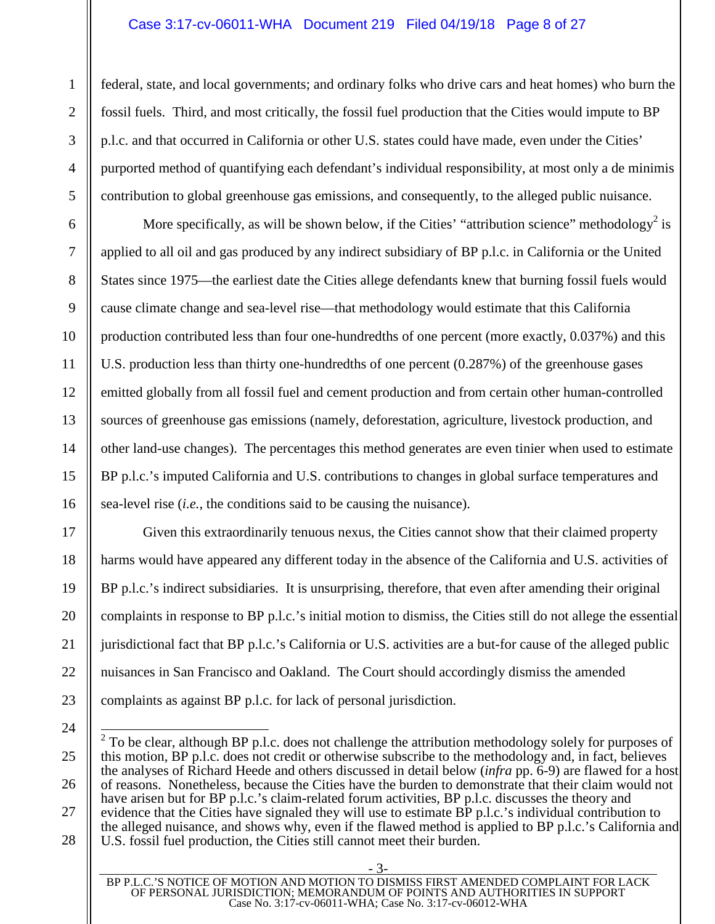# Case 3:17-cv-06011-WHA Document 219 Filed 04/19/18 Page 8 of 27

1

 $\mathfrak{D}$ 

3

4

5

6

7

8

9

10

11

12

13

14

15

16

17

18

19

20

21

22

23

24

federal, state, and local governments; and ordinary folks who drive cars and heat homes) who burn the fossil fuels. Third, and most critically, the fossil fuel production that the Cities would impute to BP p.l.c. and that occurred in California or other U.S. states could have made, even under the Cities' purported method of quantifying each defendant's individual responsibility, at most only a de minimis contribution to global greenhouse gas emissions, and consequently, to the alleged public nuisance.

More specifically, as will be shown below, if the Cities' "attribution science" methodology<sup>2</sup> is applied to all oil and gas produced by any indirect subsidiary of BP p.l.c. in California or the United States since 1975—the earliest date the Cities allege defendants knew that burning fossil fuels would cause climate change and sea-level rise—that methodology would estimate that this California production contributed less than four one-hundredths of one percent (more exactly, 0.037%) and this U.S. production less than thirty one-hundredths of one percent (0.287%) of the greenhouse gases emitted globally from all fossil fuel and cement production and from certain other human-controlled sources of greenhouse gas emissions (namely, deforestation, agriculture, livestock production, and other land-use changes). The percentages this method generates are even tinier when used to estimate BP p.l.c.'s imputed California and U.S. contributions to changes in global surface temperatures and sea-level rise (*i.e.*, the conditions said to be causing the nuisance).

Given this extraordinarily tenuous nexus, the Cities cannot show that their claimed property harms would have appeared any different today in the absence of the California and U.S. activities of BP p.l.c.'s indirect subsidiaries. It is unsurprising, therefore, that even after amending their original complaints in response to BP p.l.c.'s initial motion to dismiss, the Cities still do not allege the essential jurisdictional fact that BP p.l.c.'s California or U.S. activities are a but-for cause of the alleged public nuisances in San Francisco and Oakland. The Court should accordingly dismiss the amended complaints as against BP p.l.c. for lack of personal jurisdiction.

<sup>25</sup>  26 27 28  $2^2$  To be clear, although BP p.l.c. does not challenge the attribution methodology solely for purposes of this motion, BP p.l.c. does not credit or otherwise subscribe to the methodology and, in fact, believes the analyses of Richard Heede and others discussed in detail below (*infra* pp. 6-9) are flawed for a host of reasons. Nonetheless, because the Cities have the burden to demonstrate that their claim would not have arisen but for BP p.l.c.'s claim-related forum activities, BP p.l.c. discusses the theory and evidence that the Cities have signaled they will use to estimate BP p.l.c.'s individual contribution to the alleged nuisance, and shows why, even if the flawed method is applied to BP p.l.c.'s California and U.S. fossil fuel production, the Cities still cannot meet their burden.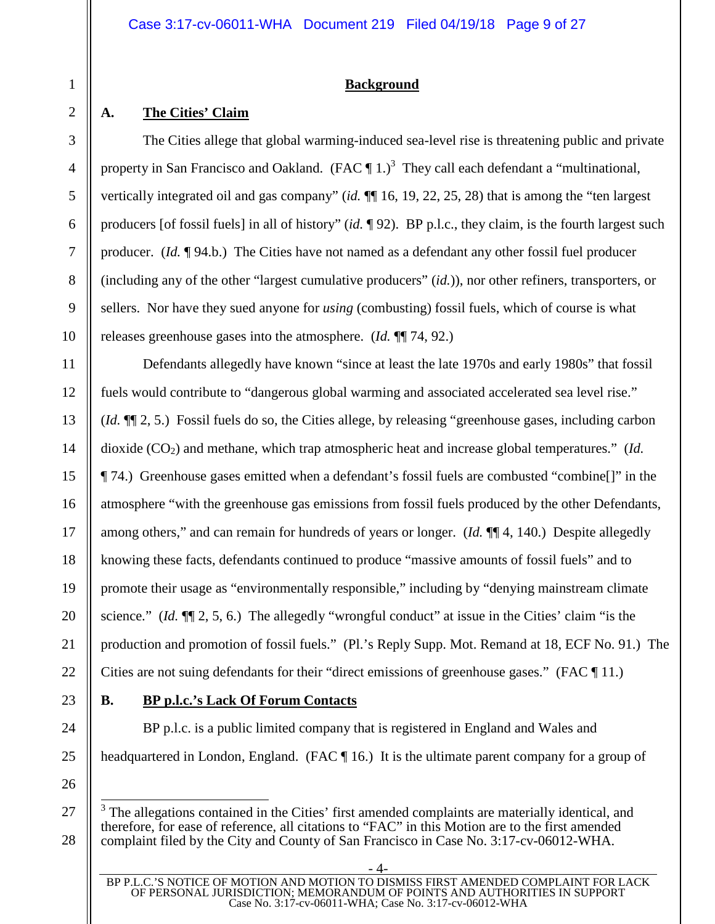# **Background**

# **A. The Cities' Claim**

The Cities allege that global warming-induced sea-level rise is threatening public and private property in San Francisco and Oakland. (FAC  $\P$  1.)<sup>3</sup> They call each defendant a "multinational, vertically integrated oil and gas company" (*id.* ¶¶ 16, 19, 22, 25, 28) that is among the "ten largest producers [of fossil fuels] in all of history" (*id.* ¶ 92). BP p.l.c., they claim, is the fourth largest such producer. (*Id.* ¶ 94.b.) The Cities have not named as a defendant any other fossil fuel producer (including any of the other "largest cumulative producers" (*id.*)), nor other refiners, transporters, or sellers. Nor have they sued anyone for *using* (combusting) fossil fuels, which of course is what releases greenhouse gases into the atmosphere. (*Id.* ¶¶ 74, 92.)

Defendants allegedly have known "since at least the late 1970s and early 1980s" that fossil fuels would contribute to "dangerous global warming and associated accelerated sea level rise." (*Id.* ¶¶ 2, 5.) Fossil fuels do so, the Cities allege, by releasing "greenhouse gases, including carbon dioxide (CO<sub>2</sub>) and methane, which trap atmospheric heat and increase global temperatures." (*Id.*) ¶ 74.) Greenhouse gases emitted when a defendant's fossil fuels are combusted "combine[]" in the atmosphere "with the greenhouse gas emissions from fossil fuels produced by the other Defendants, among others," and can remain for hundreds of years or longer. (*Id.* ¶¶ 4, 140.) Despite allegedly knowing these facts, defendants continued to produce "massive amounts of fossil fuels" and to promote their usage as "environmentally responsible," including by "denying mainstream climate science." (*Id.* ¶¶ 2, 5, 6.) The allegedly "wrongful conduct" at issue in the Cities' claim "is the production and promotion of fossil fuels." (Pl.'s Reply Supp. Mot. Remand at 18, ECF No. 91.) The Cities are not suing defendants for their "direct emissions of greenhouse gases." (FAC ¶ 11.)

# **B. BP p.l.c.'s Lack Of Forum Contacts**

BP p.l.c. is a public limited company that is registered in England and Wales and headquartered in London, England. (FAC ¶ 16.) It is the ultimate parent company for a group of

<sup>&</sup>lt;sup>3</sup> The allegations contained in the Cities' first amended complaints are materially identical, and therefore, for ease of reference, all citations to "FAC" in this Motion are to the first amended complaint filed by the City and County of San Francisco in Case No. 3:17-cv-06012-WHA.

<sup>- 4-</sup>  BP P.L.C.'S NOTICE OF MOTION AND MOTION TO DISMISS FIRST AMENDED COMPLAINT FOR LACK OF PERSONAL JURISDICTION; MEMORANDUM OF POINTS AND AUTHORITIES IN SUPPORT Case No. 3:17-cv-06011-WHA; Case No. 3:17-cv-06012-WHA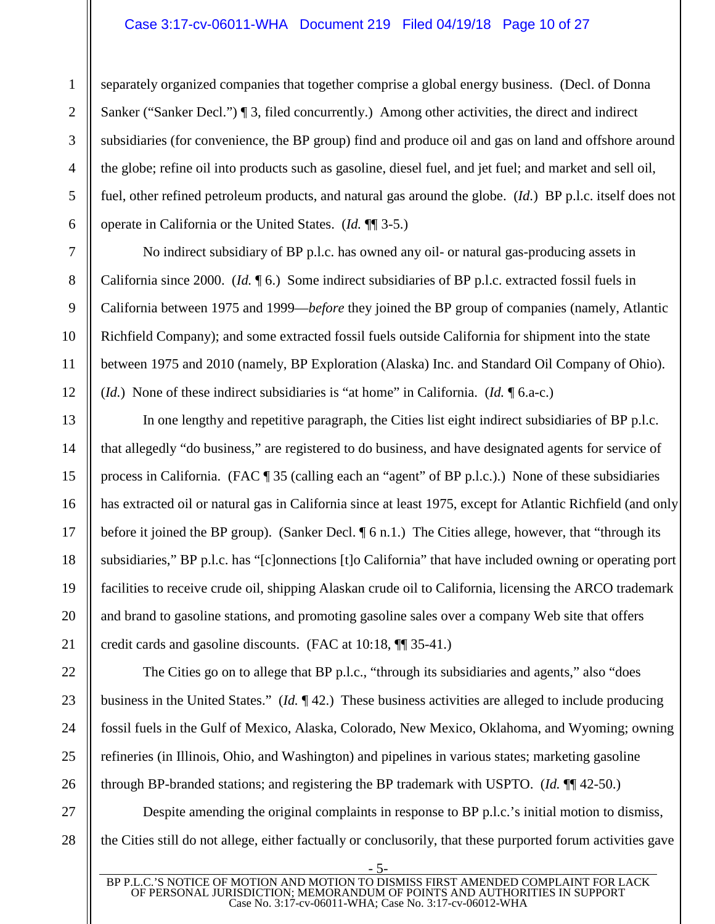# Case 3:17-cv-06011-WHA Document 219 Filed 04/19/18 Page 10 of 27

separately organized companies that together comprise a global energy business. (Decl. of Donna Sanker ("Sanker Decl.") ¶ 3, filed concurrently.) Among other activities, the direct and indirect subsidiaries (for convenience, the BP group) find and produce oil and gas on land and offshore around the globe; refine oil into products such as gasoline, diesel fuel, and jet fuel; and market and sell oil, fuel, other refined petroleum products, and natural gas around the globe. (*Id.*) BP p.l.c. itself does not operate in California or the United States. (*Id.* ¶¶ 3-5.)

No indirect subsidiary of BP p.l.c. has owned any oil- or natural gas-producing assets in California since 2000. (*Id.* ¶ 6.) Some indirect subsidiaries of BP p.l.c. extracted fossil fuels in California between 1975 and 1999—*before* they joined the BP group of companies (namely, Atlantic Richfield Company); and some extracted fossil fuels outside California for shipment into the state between 1975 and 2010 (namely, BP Exploration (Alaska) Inc. and Standard Oil Company of Ohio). (*Id.*) None of these indirect subsidiaries is "at home" in California. (*Id.* ¶ 6.a-c.)

In one lengthy and repetitive paragraph, the Cities list eight indirect subsidiaries of BP p.l.c. that allegedly "do business," are registered to do business, and have designated agents for service of process in California. (FAC ¶ 35 (calling each an "agent" of BP p.l.c.).) None of these subsidiaries has extracted oil or natural gas in California since at least 1975, except for Atlantic Richfield (and only before it joined the BP group). (Sanker Decl.  $\oint$  6 n.1.) The Cities allege, however, that "through its subsidiaries," BP p.l.c. has "[c]onnections [t]o California" that have included owning or operating port facilities to receive crude oil, shipping Alaskan crude oil to California, licensing the ARCO trademark and brand to gasoline stations, and promoting gasoline sales over a company Web site that offers credit cards and gasoline discounts. (FAC at 10:18, ¶¶ 35-41.)

The Cities go on to allege that BP p.l.c., "through its subsidiaries and agents," also "does" business in the United States." (*Id.* ¶ 42.) These business activities are alleged to include producing fossil fuels in the Gulf of Mexico, Alaska, Colorado, New Mexico, Oklahoma, and Wyoming; owning refineries (in Illinois, Ohio, and Washington) and pipelines in various states; marketing gasoline through BP-branded stations; and registering the BP trademark with USPTO. (*Id.* ¶¶ 42-50.)

Despite amending the original complaints in response to BP p.l.c.'s initial motion to dismiss, the Cities still do not allege, either factually or conclusorily, that these purported forum activities gave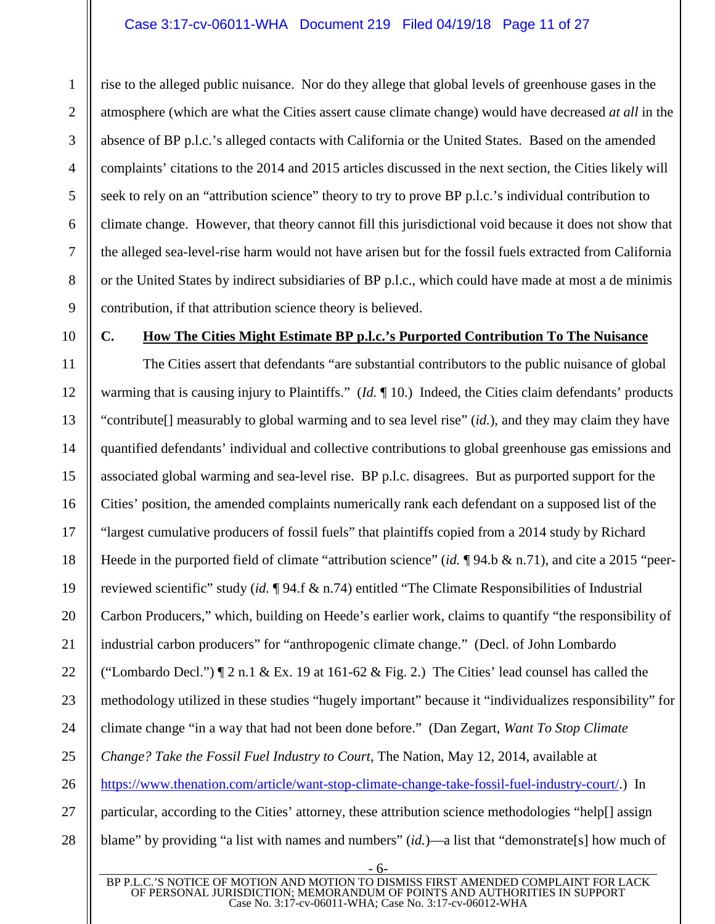# Case 3:17-cv-06011-WHA Document 219 Filed 04/19/18 Page 11 of 27

rise to the alleged public nuisance. Nor do they allege that global levels of greenhouse gases in the atmosphere (which are what the Cities assert cause climate change) would have decreased *at all* in the absence of BP p.l.c.'s alleged contacts with California or the United States. Based on the amended complaints' citations to the 2014 and 2015 articles discussed in the next section, the Cities likely will seek to rely on an "attribution science" theory to try to prove BP p.l.c.'s individual contribution to climate change. However, that theory cannot fill this jurisdictional void because it does not show that the alleged sea-level-rise harm would not have arisen but for the fossil fuels extracted from California or the United States by indirect subsidiaries of BP p.l.c., which could have made at most a de minimis contribution, if that attribution science theory is believed.

1

 $\mathfrak{D}$ 

3

4

5

6

# **C. How The Cities Might Estimate BP p.l.c.'s Purported Contribution To The Nuisance**

The Cities assert that defendants "are substantial contributors to the public nuisance of global warming that is causing injury to Plaintiffs." (*Id.* ¶ 10.) Indeed, the Cities claim defendants' products "contribute[] measurably to global warming and to sea level rise" (*id.*), and they may claim they have quantified defendants' individual and collective contributions to global greenhouse gas emissions and associated global warming and sea-level rise. BP p.l.c. disagrees. But as purported support for the Cities' position, the amended complaints numerically rank each defendant on a supposed list of the "largest cumulative producers of fossil fuels" that plaintiffs copied from a 2014 study by Richard Heede in the purported field of climate "attribution science" (*id.* ¶ 94.b & n.71), and cite a 2015 "peerreviewed scientific" study (*id.* ¶ 94.f & n.74) entitled "The Climate Responsibilities of Industrial Carbon Producers," which, building on Heede's earlier work, claims to quantify "the responsibility of industrial carbon producers" for "anthropogenic climate change." (Decl. of John Lombardo ("Lombardo Decl.")  $\P$  2 n.1 & Ex. 19 at 161-62 & Fig. 2.) The Cities' lead counsel has called the methodology utilized in these studies "hugely important" because it "individualizes responsibility" for climate change "in a way that had not been done before." (Dan Zegart, *Want To Stop Climate Change? Take the Fossil Fuel Industry to Court*, The Nation, May 12, 2014, available at https://www.thenation.com/article/want-stop-climate-change-take-fossil-fuel-industry-court/.) In particular, according to the Cities' attorney, these attribution science methodologies "help[] assign blame" by providing "a list with names and numbers" (*id.*)—a list that "demonstrate[s] how much of

BP P.L.C.'S NOTICE OF MOTION AND MOTION TO DISMISS FIRST AMENDED COMPLAINT FOR LACK OF PERSONAL JURISDICTION; MEMORANDUM OF POINTS AND AUTHORITIES IN SUPPORT Case No. 3:17-cv-06011-WHA; Case No. 3:17-cv-06012-WHA

- 6-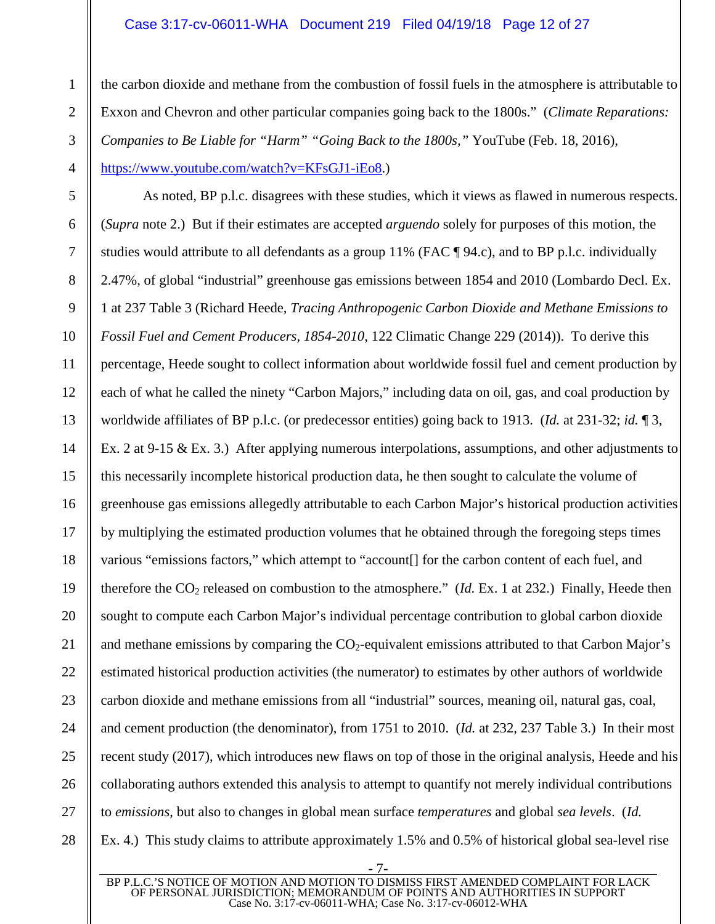# Case 3:17-cv-06011-WHA Document 219 Filed 04/19/18 Page 12 of 27

the carbon dioxide and methane from the combustion of fossil fuels in the atmosphere is attributable to Exxon and Chevron and other particular companies going back to the 1800s." (*Climate Reparations: Companies to Be Liable for "Harm" "Going Back to the 1800s,"* YouTube (Feb. 18, 2016), https://www.youtube.com/watch?v=KFsGJ1-iEo8.)

As noted, BP p.l.c. disagrees with these studies, which it views as flawed in numerous respects. (*Supra* note 2.) But if their estimates are accepted *arguendo* solely for purposes of this motion, the studies would attribute to all defendants as a group 11% (FAC ¶ 94.c), and to BP p.l.c. individually 2.47%, of global "industrial" greenhouse gas emissions between 1854 and 2010 (Lombardo Decl. Ex. 1 at 237 Table 3 (Richard Heede, *Tracing Anthropogenic Carbon Dioxide and Methane Emissions to Fossil Fuel and Cement Producers, 1854-2010*, 122 Climatic Change 229 (2014)). To derive this percentage, Heede sought to collect information about worldwide fossil fuel and cement production by each of what he called the ninety "Carbon Majors," including data on oil, gas, and coal production by worldwide affiliates of BP p.l.c. (or predecessor entities) going back to 1913. (*Id.* at 231-32; *id.* ¶ 3, Ex. 2 at 9-15 & Ex. 3.) After applying numerous interpolations, assumptions, and other adjustments to this necessarily incomplete historical production data, he then sought to calculate the volume of greenhouse gas emissions allegedly attributable to each Carbon Major's historical production activities by multiplying the estimated production volumes that he obtained through the foregoing steps times various "emissions factors," which attempt to "account[] for the carbon content of each fuel, and therefore the  $CO<sub>2</sub>$  released on combustion to the atmosphere." (*Id.* Ex. 1 at 232.) Finally, Heede then sought to compute each Carbon Major's individual percentage contribution to global carbon dioxide and methane emissions by comparing the  $CO_2$ -equivalent emissions attributed to that Carbon Major's estimated historical production activities (the numerator) to estimates by other authors of worldwide carbon dioxide and methane emissions from all "industrial" sources, meaning oil, natural gas, coal, and cement production (the denominator), from 1751 to 2010. (*Id.* at 232, 237 Table 3.) In their most recent study (2017), which introduces new flaws on top of those in the original analysis, Heede and his collaborating authors extended this analysis to attempt to quantify not merely individual contributions to *emissions*, but also to changes in global mean surface *temperatures* and global *sea levels*. (*Id.* Ex. 4.) This study claims to attribute approximately 1.5% and 0.5% of historical global sea-level rise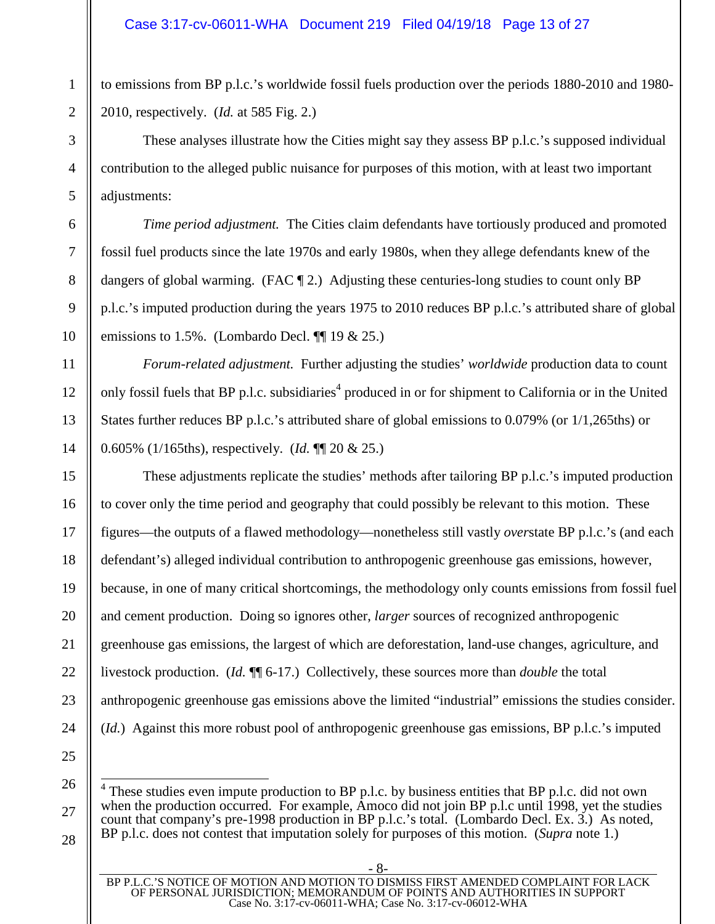to emissions from BP p.l.c.'s worldwide fossil fuels production over the periods 1880-2010 and 1980- 2010, respectively. (*Id.* at 585 Fig. 2.)

These analyses illustrate how the Cities might say they assess BP p.l.c.'s supposed individual contribution to the alleged public nuisance for purposes of this motion, with at least two important adjustments:

*Time period adjustment.* The Cities claim defendants have tortiously produced and promoted fossil fuel products since the late 1970s and early 1980s, when they allege defendants knew of the dangers of global warming. (FAC  $\P$  2.) Adjusting these centuries-long studies to count only BP p.l.c.'s imputed production during the years 1975 to 2010 reduces BP p.l.c.'s attributed share of global emissions to 1.5%. (Lombardo Decl.  $\P$  19 & 25.)

*Forum-related adjustment.* Further adjusting the studies' *worldwide* production data to count only fossil fuels that BP p.l.c. subsidiaries<sup>4</sup> produced in or for shipment to California or in the United States further reduces BP p.l.c.'s attributed share of global emissions to 0.079% (or 1/1,265ths) or 0.605% (1/165ths), respectively. (*Id.* ¶¶ 20 & 25.)

These adjustments replicate the studies' methods after tailoring BP p.l.c.'s imputed production to cover only the time period and geography that could possibly be relevant to this motion. These figures—the outputs of a flawed methodology—nonetheless still vastly *over*state BP p.l.c.'s (and each defendant's) alleged individual contribution to anthropogenic greenhouse gas emissions, however, because, in one of many critical shortcomings, the methodology only counts emissions from fossil fuel and cement production. Doing so ignores other, *larger* sources of recognized anthropogenic greenhouse gas emissions, the largest of which are deforestation, land-use changes, agriculture, and livestock production. (*Id.* ¶¶ 6-17.) Collectively, these sources more than *double* the total anthropogenic greenhouse gas emissions above the limited "industrial" emissions the studies consider. (*Id.*) Against this more robust pool of anthropogenic greenhouse gas emissions, BP p.l.c.'s imputed

- 8-

1

2

3

4

5

6

7

<sup>24</sup>  25 26 27

 $4$  These studies even impute production to BP p.l.c. by business entities that BP p.l.c. did not own when the production occurred. For example, Amoco did not join BP p.l.c until 1998, yet the studies count that company's pre-1998 production in BP p.l.c.'s total. (Lombardo Decl. Ex. 3.) As noted, BP p.l.c. does not contest that imputation solely for purposes of this motion. (*Supra* note 1.)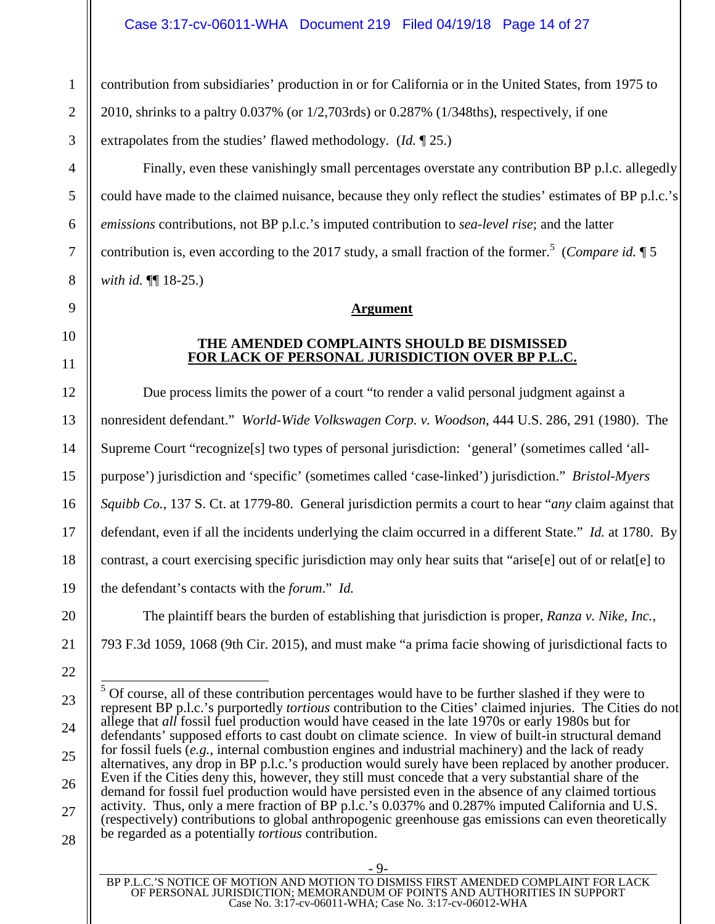contribution from subsidiaries' production in or for California or in the United States, from 1975 to 2010, shrinks to a paltry 0.037% (or 1/2,703rds) or 0.287% (1/348ths), respectively, if one extrapolates from the studies' flawed methodology. (*Id.* ¶ 25.)

Finally, even these vanishingly small percentages overstate any contribution BP p.l.c. allegedly could have made to the claimed nuisance, because they only reflect the studies' estimates of BP p.l.c.'s *emissions* contributions, not BP p.l.c.'s imputed contribution to *sea-level rise*; and the latter contribution is, even according to the 2017 study, a small fraction of the former.<sup>5</sup> (*Compare id.* 15) *with id.* ¶¶ 18-25.)

# **Argument**

# **THE AMENDED COMPLAINTS SHOULD BE DISMISSED FOR LACK OF PERSONAL JURISDICTION OVER BP P.L.C.**

Due process limits the power of a court "to render a valid personal judgment against a nonresident defendant." *World-Wide Volkswagen Corp. v. Woodson*, 444 U.S. 286, 291 (1980). The Supreme Court "recognize[s] two types of personal jurisdiction: 'general' (sometimes called 'allpurpose') jurisdiction and 'specific' (sometimes called 'case-linked') jurisdiction." *Bristol-Myers Squibb Co.*, 137 S. Ct. at 1779-80. General jurisdiction permits a court to hear "*any* claim against that defendant, even if all the incidents underlying the claim occurred in a different State." *Id.* at 1780. By contrast, a court exercising specific jurisdiction may only hear suits that "arise[e] out of or relat[e] to the defendant's contacts with the *forum*." *Id.*

The plaintiff bears the burden of establishing that jurisdiction is proper, *Ranza v. Nike, Inc.*, 793 F.3d 1059, 1068 (9th Cir. 2015), and must make "a prima facie showing of jurisdictional facts to

 $<sup>5</sup>$  Of course, all of these contribution percentages would have to be further slashed if they were to</sup> represent BP p.l.c.'s purportedly *tortious* contribution to the Cities' claimed injuries. The Cities do not allege that *all* fossil fuel production would have ceased in the late 1970s or early 1980s but for defendants' supposed efforts to cast doubt on climate science. In view of built-in structural demand for fossil fuels (*e.g.*, internal combustion engines and industrial machinery) and the lack of ready alternatives, any drop in BP p.l.c.'s production would surely have been replaced by another producer. Even if the Cities deny this, however, they still must concede that a very substantial share of the demand for fossil fuel production would have persisted even in the absence of any claimed tortious activity. Thus, only a mere fraction of BP p.l.c.'s 0.037% and 0.287% imputed California and U.S. (respectively) contributions to global anthropogenic greenhouse gas emissions can even theoretically be regarded as a potentially *tortious* contribution.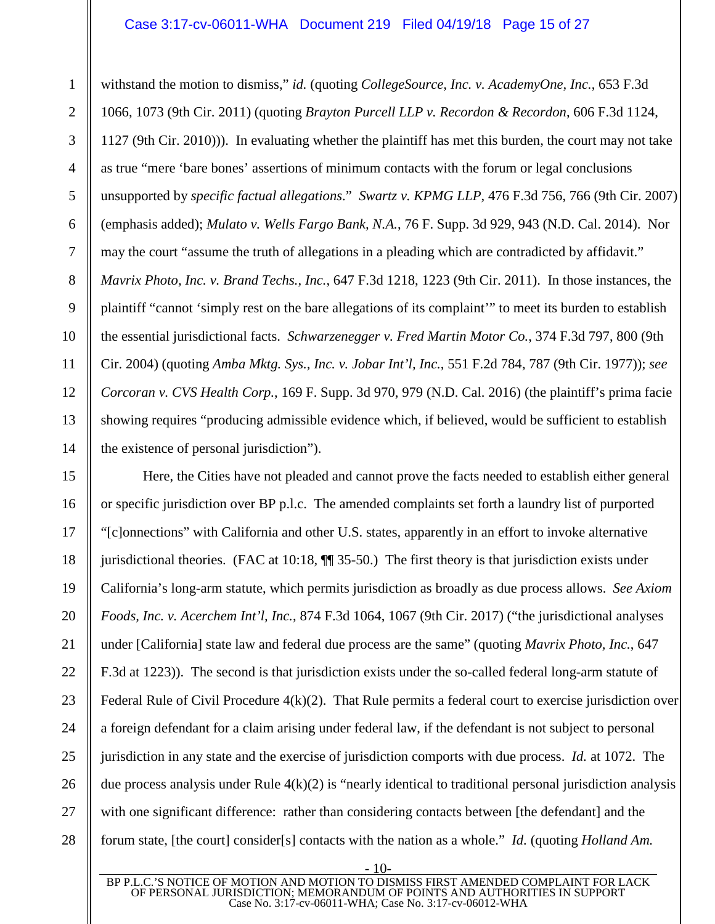#### Case 3:17-cv-06011-WHA Document 219 Filed 04/19/18 Page 15 of 27

withstand the motion to dismiss," *id.* (quoting *CollegeSource, Inc. v. AcademyOne, Inc.*, 653 F.3d 1066, 1073 (9th Cir. 2011) (quoting *Brayton Purcell LLP v. Recordon & Recordon*, 606 F.3d 1124, 1127 (9th Cir. 2010))). In evaluating whether the plaintiff has met this burden, the court may not take as true "mere 'bare bones' assertions of minimum contacts with the forum or legal conclusions unsupported by *specific factual allegations*." *Swartz v. KPMG LLP*, 476 F.3d 756, 766 (9th Cir. 2007) (emphasis added); *Mulato v. Wells Fargo Bank, N.A.*, 76 F. Supp. 3d 929, 943 (N.D. Cal. 2014). Nor may the court "assume the truth of allegations in a pleading which are contradicted by affidavit." *Mavrix Photo, Inc. v. Brand Techs., Inc.*, 647 F.3d 1218, 1223 (9th Cir. 2011). In those instances, the plaintiff "cannot 'simply rest on the bare allegations of its complaint'" to meet its burden to establish the essential jurisdictional facts. *Schwarzenegger v. Fred Martin Motor Co.*, 374 F.3d 797, 800 (9th Cir. 2004) (quoting *Amba Mktg. Sys., Inc. v. Jobar Int'l, Inc.*, 551 F.2d 784, 787 (9th Cir. 1977)); *see Corcoran v. CVS Health Corp.*, 169 F. Supp. 3d 970, 979 (N.D. Cal. 2016) (the plaintiff's prima facie showing requires "producing admissible evidence which, if believed, would be sufficient to establish the existence of personal jurisdiction").

Here, the Cities have not pleaded and cannot prove the facts needed to establish either general or specific jurisdiction over BP p.l.c. The amended complaints set forth a laundry list of purported "[c]onnections" with California and other U.S. states, apparently in an effort to invoke alternative jurisdictional theories. (FAC at 10:18, ¶¶ 35-50.) The first theory is that jurisdiction exists under California's long-arm statute, which permits jurisdiction as broadly as due process allows. *See Axiom Foods, Inc. v. Acerchem Int'l, Inc.*, 874 F.3d 1064, 1067 (9th Cir. 2017) ("the jurisdictional analyses under [California] state law and federal due process are the same" (quoting *Mavrix Photo, Inc.*, 647 F.3d at 1223)). The second is that jurisdiction exists under the so-called federal long-arm statute of Federal Rule of Civil Procedure  $4(k)(2)$ . That Rule permits a federal court to exercise jurisdiction over a foreign defendant for a claim arising under federal law, if the defendant is not subject to personal jurisdiction in any state and the exercise of jurisdiction comports with due process. *Id.* at 1072. The due process analysis under Rule  $4(k)(2)$  is "nearly identical to traditional personal jurisdiction analysis with one significant difference: rather than considering contacts between [the defendant] and the forum state, [the court] consider[s] contacts with the nation as a whole." *Id.* (quoting *Holland Am.* 

- 10-

1

 $\mathfrak{D}$ 

3

4

5

6

7

8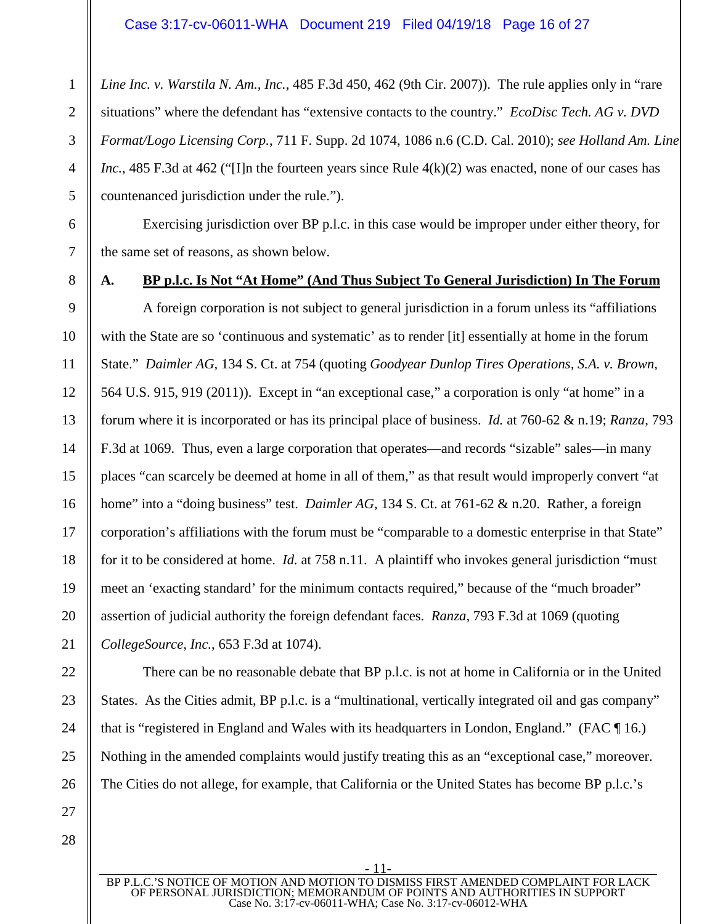*Line Inc. v. Warstila N. Am., Inc.*, 485 F.3d 450, 462 (9th Cir. 2007)). The rule applies only in "rare situations" where the defendant has "extensive contacts to the country." *EcoDisc Tech. AG v. DVD Format/Logo Licensing Corp.*, 711 F. Supp. 2d 1074, 1086 n.6 (C.D. Cal. 2010); *see Holland Am. Line Inc.*, 485 F.3d at 462 ("Illn the fourteen years since Rule 4(k)(2) was enacted, none of our cases has countenanced jurisdiction under the rule.").

Exercising jurisdiction over BP p.l.c. in this case would be improper under either theory, for the same set of reasons, as shown below.

1

2

3

#### **A. BP p.l.c. Is Not "At Home" (And Thus Subject To General Jurisdiction) In The Forum**

A foreign corporation is not subject to general jurisdiction in a forum unless its "affiliations with the State are so 'continuous and systematic' as to render [it] essentially at home in the forum State." *Daimler AG*, 134 S. Ct. at 754 (quoting *Goodyear Dunlop Tires Operations, S.A. v. Brown*, 564 U.S. 915, 919 (2011)). Except in "an exceptional case," a corporation is only "at home" in a forum where it is incorporated or has its principal place of business. *Id.* at 760-62 & n.19; *Ranza*, 793 F.3d at 1069. Thus, even a large corporation that operates—and records "sizable" sales—in many places "can scarcely be deemed at home in all of them," as that result would improperly convert "at home" into a "doing business" test. *Daimler AG*, 134 S. Ct. at 761-62 & n.20. Rather, a foreign corporation's affiliations with the forum must be "comparable to a domestic enterprise in that State" for it to be considered at home. *Id.* at 758 n.11. A plaintiff who invokes general jurisdiction "must meet an 'exacting standard' for the minimum contacts required," because of the "much broader" assertion of judicial authority the foreign defendant faces. *Ranza*, 793 F.3d at 1069 (quoting *CollegeSource, Inc.*, 653 F.3d at 1074).

There can be no reasonable debate that BP p.l.c. is not at home in California or in the United States. As the Cities admit, BP p.l.c. is a "multinational, vertically integrated oil and gas company" that is "registered in England and Wales with its headquarters in London, England." (FAC ¶ 16.) Nothing in the amended complaints would justify treating this as an "exceptional case," moreover. The Cities do not allege, for example, that California or the United States has become BP p.l.c.'s

BP P.L.C.'S NOTICE OF MOTION AND MOTION TO DISMISS FIRST AMENDED COMPLAINT FOR LACK OF PERSONAL JURISDICTION; MEMORANDUM OF POINTS AND AUTHORITIES IN SUPPORT Case No. 3:17-cv-06011-WHA; Case No. 3:17-cv-06012-WHA

- 11-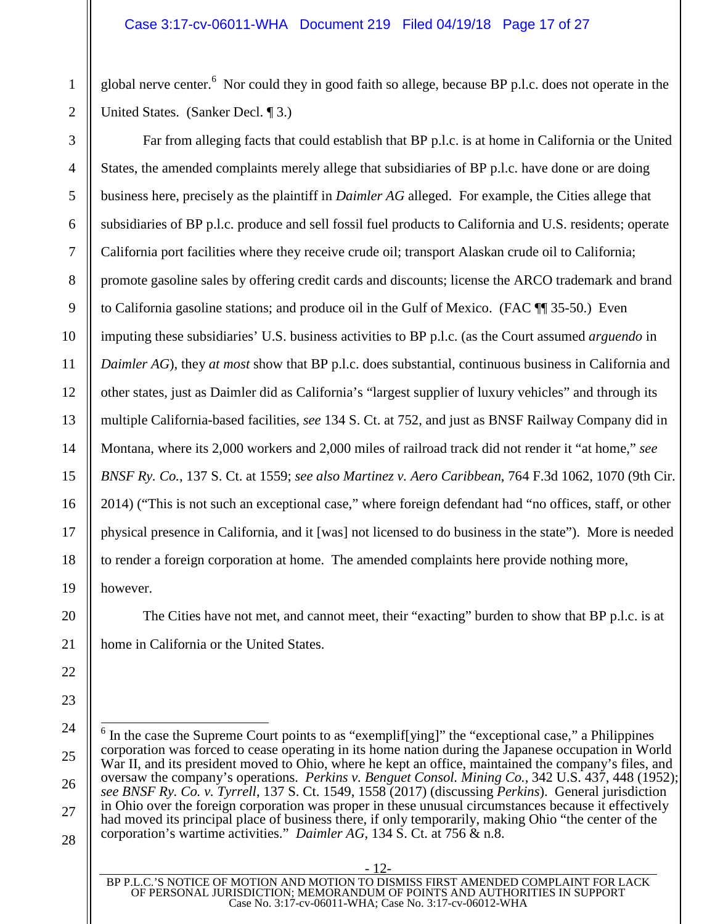global nerve center.<sup>6</sup> Nor could they in good faith so allege, because BP p.l.c. does not operate in the United States. (Sanker Decl. ¶ 3.)

Far from alleging facts that could establish that BP p.l.c. is at home in California or the United States, the amended complaints merely allege that subsidiaries of BP p.l.c. have done or are doing business here, precisely as the plaintiff in *Daimler AG* alleged. For example, the Cities allege that subsidiaries of BP p.l.c. produce and sell fossil fuel products to California and U.S. residents; operate California port facilities where they receive crude oil; transport Alaskan crude oil to California; promote gasoline sales by offering credit cards and discounts; license the ARCO trademark and brand to California gasoline stations; and produce oil in the Gulf of Mexico. (FAC ¶¶ 35-50.) Even imputing these subsidiaries' U.S. business activities to BP p.l.c. (as the Court assumed *arguendo* in *Daimler AG*), they *at most* show that BP p.l.c. does substantial, continuous business in California and other states, just as Daimler did as California's "largest supplier of luxury vehicles" and through its multiple California-based facilities, *see* 134 S. Ct. at 752, and just as BNSF Railway Company did in Montana, where its 2,000 workers and 2,000 miles of railroad track did not render it "at home," *see BNSF Ry. Co.*, 137 S. Ct. at 1559; *see also Martinez v. Aero Caribbean*, 764 F.3d 1062, 1070 (9th Cir. 2014) ("This is not such an exceptional case," where foreign defendant had "no offices, staff, or other physical presence in California, and it [was] not licensed to do business in the state"). More is needed to render a foreign corporation at home. The amended complaints here provide nothing more, however.

The Cities have not met, and cannot meet, their "exacting" burden to show that BP p.l.c. is at home in California or the United States.

- 12-

 $6$  In the case the Supreme Court points to as "exemplif[ying]" the "exceptional case," a Philippines corporation was forced to cease operating in its home nation during the Japanese occupation in World War II, and its president moved to Ohio, where he kept an office, maintained the company's files, and oversaw the company's operations. *Perkins v. Benguet Consol. Mining Co.*, 342 U.S. 437, 448 (1952); *see BNSF Ry. Co. v. Tyrrell*, 137 S. Ct. 1549, 1558 (2017) (discussing *Perkins*). General jurisdiction in Ohio over the foreign corporation was proper in these unusual circumstances because it effectively had moved its principal place of business there, if only temporarily, making Ohio "the center of the corporation's wartime activities." *Daimler AG*, 134 S. Ct. at 756 & n.8.

BP P.L.C.'S NOTICE OF MOTION AND MOTION TO DISMISS FIRST AMENDED COMPLAINT FOR LACK OF PERSONAL JURISDICTION; MEMORANDUM OF POINTS AND AUTHORITIES IN SUPPORT Case No. 3:17-cv-06011-WHA; Case No. 3:17-cv-06012-WHA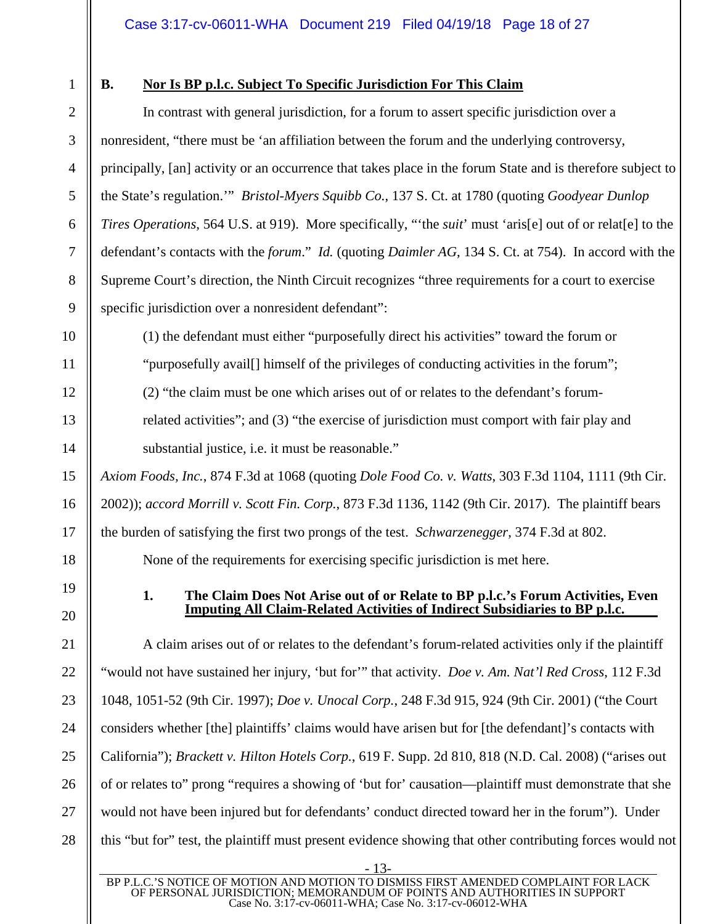1

2

3

4

5

6

7

8

9

10

11

12

13

14

15

16

17

18

19

20

21

22

23

24

25

26

27

28

# **B. Nor Is BP p.l.c. Subject To Specific Jurisdiction For This Claim**

In contrast with general jurisdiction, for a forum to assert specific jurisdiction over a nonresident, "there must be 'an affiliation between the forum and the underlying controversy, principally, [an] activity or an occurrence that takes place in the forum State and is therefore subject to the State's regulation.'" *Bristol-Myers Squibb Co.*, 137 S. Ct. at 1780 (quoting *Goodyear Dunlop Tires Operations*, 564 U.S. at 919). More specifically, "'the *suit*' must 'aris[e] out of or relat[e] to the defendant's contacts with the *forum*." *Id.* (quoting *Daimler AG*, 134 S. Ct. at 754). In accord with the Supreme Court's direction, the Ninth Circuit recognizes "three requirements for a court to exercise specific jurisdiction over a nonresident defendant":

(1) the defendant must either "purposefully direct his activities" toward the forum or "purposefully avail[] himself of the privileges of conducting activities in the forum";

(2) "the claim must be one which arises out of or relates to the defendant's forum-

related activities"; and (3) "the exercise of jurisdiction must comport with fair play and substantial justice, i.e. it must be reasonable."

*Axiom Foods, Inc.*, 874 F.3d at 1068 (quoting *Dole Food Co. v. Watts*, 303 F.3d 1104, 1111 (9th Cir. 2002)); *accord Morrill v. Scott Fin. Corp.*, 873 F.3d 1136, 1142 (9th Cir. 2017). The plaintiff bears the burden of satisfying the first two prongs of the test. *Schwarzenegger*, 374 F.3d at 802.

None of the requirements for exercising specific jurisdiction is met here.

# **1. The Claim Does Not Arise out of or Relate to BP p.l.c.'s Forum Activities, Even Imputing All Claim-Related Activities of Indirect Subsidiaries to BP p.l.c.**

A claim arises out of or relates to the defendant's forum-related activities only if the plaintiff "would not have sustained her injury, 'but for'" that activity. *Doe v. Am. Nat'l Red Cross*, 112 F.3d 1048, 1051-52 (9th Cir. 1997); *Doe v. Unocal Corp.*, 248 F.3d 915, 924 (9th Cir. 2001) ("the Court considers whether [the] plaintiffs' claims would have arisen but for [the defendant]'s contacts with California"); *Brackett v. Hilton Hotels Corp.*, 619 F. Supp. 2d 810, 818 (N.D. Cal. 2008) ("arises out of or relates to" prong "requires a showing of 'but for' causation—plaintiff must demonstrate that she would not have been injured but for defendants' conduct directed toward her in the forum"). Under this "but for" test, the plaintiff must present evidence showing that other contributing forces would not

- 13-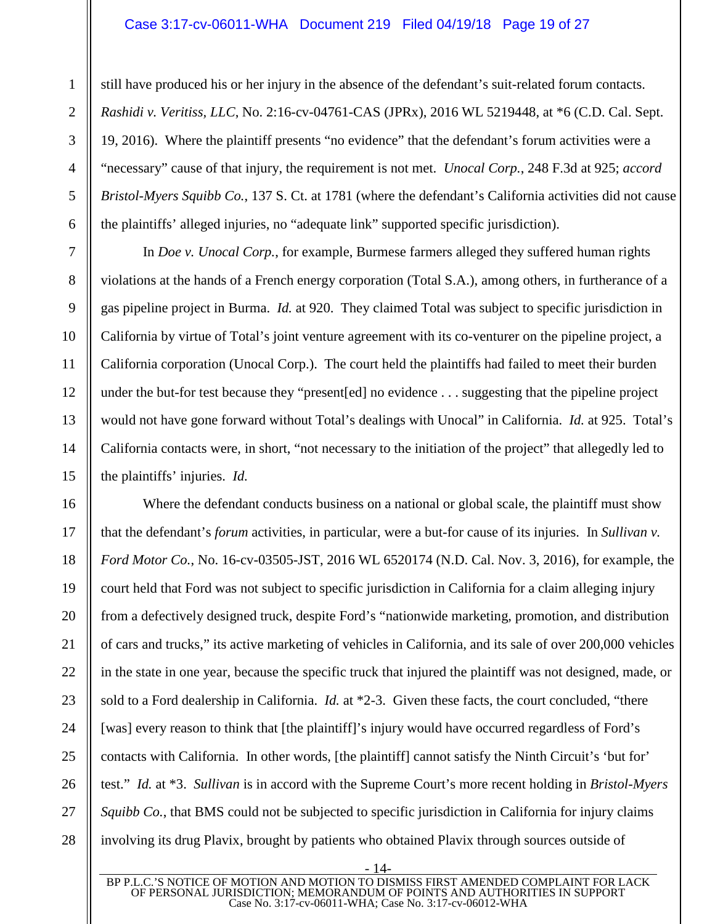# Case 3:17-cv-06011-WHA Document 219 Filed 04/19/18 Page 19 of 27

still have produced his or her injury in the absence of the defendant's suit-related forum contacts. *Rashidi v. Veritiss, LLC*, No. 2:16-cv-04761-CAS (JPRx), 2016 WL 5219448, at \*6 (C.D. Cal. Sept. 19, 2016). Where the plaintiff presents "no evidence" that the defendant's forum activities were a "necessary" cause of that injury, the requirement is not met. *Unocal Corp.*, 248 F.3d at 925; *accord Bristol-Myers Squibb Co.*, 137 S. Ct. at 1781 (where the defendant's California activities did not cause the plaintiffs' alleged injuries, no "adequate link" supported specific jurisdiction).

In *Doe v. Unocal Corp.*, for example, Burmese farmers alleged they suffered human rights violations at the hands of a French energy corporation (Total S.A.), among others, in furtherance of a gas pipeline project in Burma. *Id.* at 920. They claimed Total was subject to specific jurisdiction in California by virtue of Total's joint venture agreement with its co-venturer on the pipeline project, a California corporation (Unocal Corp.). The court held the plaintiffs had failed to meet their burden under the but-for test because they "present[ed] no evidence . . . suggesting that the pipeline project would not have gone forward without Total's dealings with Unocal" in California. *Id.* at 925. Total's California contacts were, in short, "not necessary to the initiation of the project" that allegedly led to the plaintiffs' injuries. *Id.*

Where the defendant conducts business on a national or global scale, the plaintiff must show that the defendant's *forum* activities, in particular, were a but-for cause of its injuries. In *Sullivan v. Ford Motor Co.*, No. 16-cv-03505-JST, 2016 WL 6520174 (N.D. Cal. Nov. 3, 2016), for example, the court held that Ford was not subject to specific jurisdiction in California for a claim alleging injury from a defectively designed truck, despite Ford's "nationwide marketing, promotion, and distribution of cars and trucks," its active marketing of vehicles in California, and its sale of over 200,000 vehicles in the state in one year, because the specific truck that injured the plaintiff was not designed, made, or sold to a Ford dealership in California. *Id.* at \*2-3. Given these facts, the court concluded, "there [was] every reason to think that [the plaintiff]'s injury would have occurred regardless of Ford's contacts with California. In other words, [the plaintiff] cannot satisfy the Ninth Circuit's 'but for' test." *Id.* at \*3. *Sullivan* is in accord with the Supreme Court's more recent holding in *Bristol-Myers Squibb Co.*, that BMS could not be subjected to specific jurisdiction in California for injury claims involving its drug Plavix, brought by patients who obtained Plavix through sources outside of

BP P.L.C.'S NOTICE OF MOTION AND MOTION TO DISMISS FIRST AMENDED COMPLAINT FOR LACK OF PERSONAL JURISDICTION; MEMORANDUM OF POINTS AND AUTHORITIES IN SUPPORT Case No. 3:17-cv-06011-WHA; Case No. 3:17-cv-06012-WHA

- 14-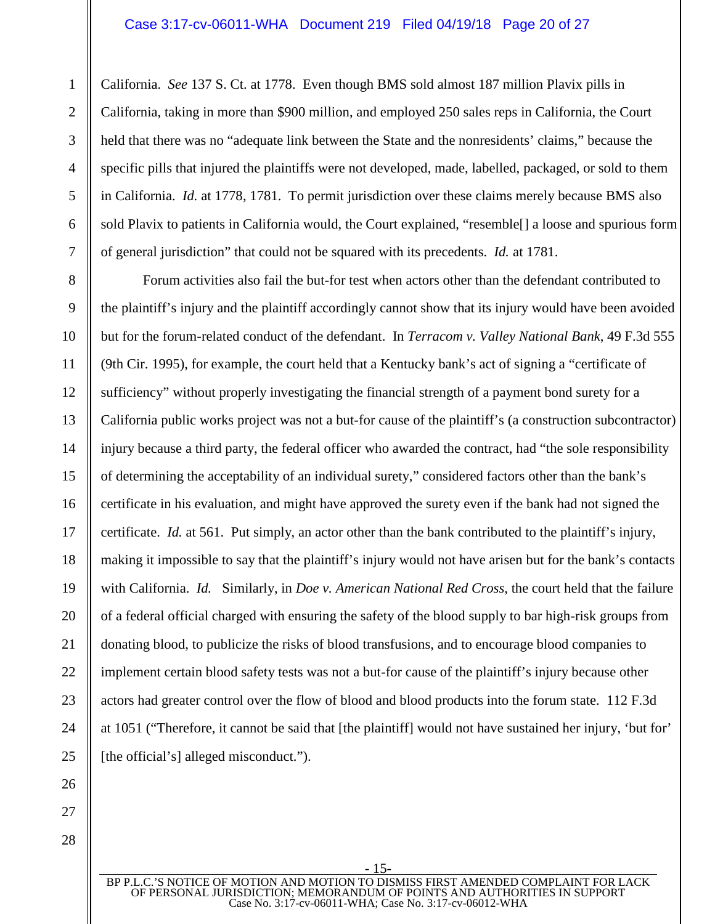California. *See* 137 S. Ct. at 1778. Even though BMS sold almost 187 million Plavix pills in California, taking in more than \$900 million, and employed 250 sales reps in California, the Court held that there was no "adequate link between the State and the nonresidents' claims," because the specific pills that injured the plaintiffs were not developed, made, labelled, packaged, or sold to them in California. *Id.* at 1778, 1781. To permit jurisdiction over these claims merely because BMS also sold Plavix to patients in California would, the Court explained, "resemble[] a loose and spurious form of general jurisdiction" that could not be squared with its precedents. *Id.* at 1781.

Forum activities also fail the but-for test when actors other than the defendant contributed to the plaintiff's injury and the plaintiff accordingly cannot show that its injury would have been avoided but for the forum-related conduct of the defendant. In *Terracom v. Valley National Bank*, 49 F.3d 555 (9th Cir. 1995), for example, the court held that a Kentucky bank's act of signing a "certificate of sufficiency" without properly investigating the financial strength of a payment bond surety for a California public works project was not a but-for cause of the plaintiff's (a construction subcontractor) injury because a third party, the federal officer who awarded the contract, had "the sole responsibility of determining the acceptability of an individual surety," considered factors other than the bank's certificate in his evaluation, and might have approved the surety even if the bank had not signed the certificate. *Id.* at 561. Put simply, an actor other than the bank contributed to the plaintiff's injury, making it impossible to say that the plaintiff's injury would not have arisen but for the bank's contacts with California. *Id.* Similarly, in *Doe v. American National Red Cross*, the court held that the failure of a federal official charged with ensuring the safety of the blood supply to bar high-risk groups from donating blood, to publicize the risks of blood transfusions, and to encourage blood companies to implement certain blood safety tests was not a but-for cause of the plaintiff's injury because other actors had greater control over the flow of blood and blood products into the forum state. 112 F.3d at 1051 ("Therefore, it cannot be said that [the plaintiff] would not have sustained her injury, 'but for' [the official's] alleged misconduct.").

BP P.L.C.'S NOTICE OF MOTION AND MOTION TO DISMISS FIRST AMENDED COMPLAINT FOR LACK OF PERSONAL JURISDICTION; MEMORANDUM OF POINTS AND AUTHORITIES IN SUPPORT Case No. 3:17-cv-06011-WHA; Case No. 3:17-cv-06012-WHA

- 15-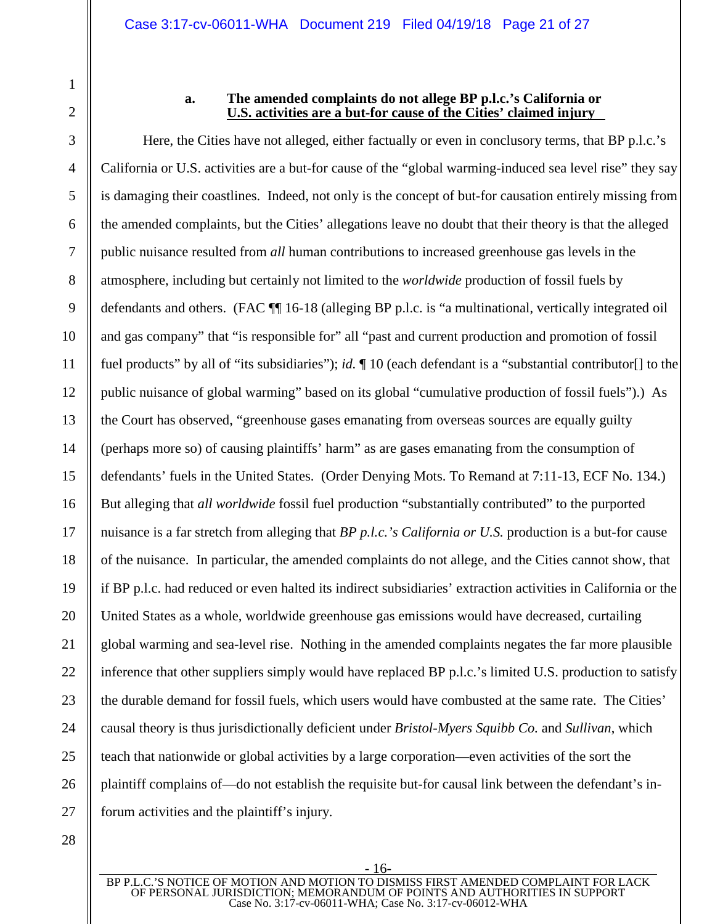26

27

28

1

#### **a. The amended complaints do not allege BP p.l.c.'s California or U.S. activities are a but-for cause of the Cities' claimed injury**

Here, the Cities have not alleged, either factually or even in conclusory terms, that BP p.l.c.'s California or U.S. activities are a but-for cause of the "global warming-induced sea level rise" they say is damaging their coastlines. Indeed, not only is the concept of but-for causation entirely missing from the amended complaints, but the Cities' allegations leave no doubt that their theory is that the alleged public nuisance resulted from *all* human contributions to increased greenhouse gas levels in the atmosphere, including but certainly not limited to the *worldwide* production of fossil fuels by defendants and others. (FAC ¶¶ 16-18 (alleging BP p.l.c. is "a multinational, vertically integrated oil and gas company" that "is responsible for" all "past and current production and promotion of fossil fuel products" by all of "its subsidiaries"); *id.* ¶ 10 (each defendant is a "substantial contributor[] to the public nuisance of global warming" based on its global "cumulative production of fossil fuels").) As the Court has observed, "greenhouse gases emanating from overseas sources are equally guilty (perhaps more so) of causing plaintiffs' harm" as are gases emanating from the consumption of defendants' fuels in the United States. (Order Denying Mots. To Remand at 7:11-13, ECF No. 134.) But alleging that *all worldwide* fossil fuel production "substantially contributed" to the purported nuisance is a far stretch from alleging that *BP p.l.c.'s California or U.S.* production is a but-for cause of the nuisance. In particular, the amended complaints do not allege, and the Cities cannot show, that if BP p.l.c. had reduced or even halted its indirect subsidiaries' extraction activities in California or the United States as a whole, worldwide greenhouse gas emissions would have decreased, curtailing global warming and sea-level rise. Nothing in the amended complaints negates the far more plausible inference that other suppliers simply would have replaced BP p.l.c.'s limited U.S. production to satisfy the durable demand for fossil fuels, which users would have combusted at the same rate. The Cities' causal theory is thus jurisdictionally deficient under *Bristol-Myers Squibb Co.* and *Sullivan*, which teach that nationwide or global activities by a large corporation—even activities of the sort the plaintiff complains of—do not establish the requisite but-for causal link between the defendant's inforum activities and the plaintiff's injury.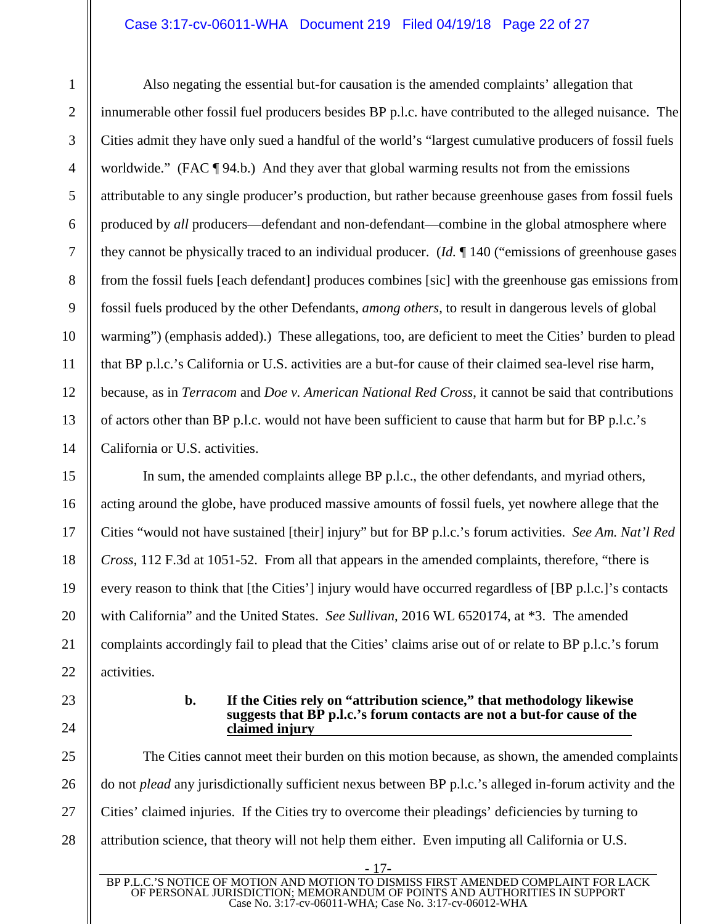## Case 3:17-cv-06011-WHA Document 219 Filed 04/19/18 Page 22 of 27

Also negating the essential but-for causation is the amended complaints' allegation that innumerable other fossil fuel producers besides BP p.l.c. have contributed to the alleged nuisance. The Cities admit they have only sued a handful of the world's "largest cumulative producers of fossil fuels worldwide." (FAC ¶ 94.b.) And they aver that global warming results not from the emissions attributable to any single producer's production, but rather because greenhouse gases from fossil fuels produced by *all* producers—defendant and non-defendant—combine in the global atmosphere where they cannot be physically traced to an individual producer. (*Id.* ¶ 140 ("emissions of greenhouse gases from the fossil fuels [each defendant] produces combines [sic] with the greenhouse gas emissions from fossil fuels produced by the other Defendants, *among others*, to result in dangerous levels of global warming") (emphasis added).) These allegations, too, are deficient to meet the Cities' burden to plead that BP p.l.c.'s California or U.S. activities are a but-for cause of their claimed sea-level rise harm, because, as in *Terracom* and *Doe v. American National Red Cross*, it cannot be said that contributions of actors other than BP p.l.c. would not have been sufficient to cause that harm but for BP p.l.c.'s California or U.S. activities.

In sum, the amended complaints allege BP p.l.c., the other defendants, and myriad others, acting around the globe, have produced massive amounts of fossil fuels, yet nowhere allege that the Cities "would not have sustained [their] injury" but for BP p.l.c.'s forum activities. *See Am. Nat'l Red Cross*, 112 F.3d at 1051-52. From all that appears in the amended complaints, therefore, "there is every reason to think that [the Cities'] injury would have occurred regardless of [BP p.l.c.]'s contacts with California" and the United States. *See Sullivan*, 2016 WL 6520174, at \*3. The amended complaints accordingly fail to plead that the Cities' claims arise out of or relate to BP p.l.c.'s forum activities.

#### **b. If the Cities rely on "attribution science," that methodology likewise suggests that BP p.l.c.'s forum contacts are not a but-for cause of the claimed injury**

The Cities cannot meet their burden on this motion because, as shown, the amended complaints do not *plead* any jurisdictionally sufficient nexus between BP p.l.c.'s alleged in-forum activity and the Cities' claimed injuries. If the Cities try to overcome their pleadings' deficiencies by turning to attribution science, that theory will not help them either. Even imputing all California or U.S.

- 17-

BP P.L.C.'S NOTICE OF MOTION AND MOTION TO DISMISS FIRST AMENDED COMPLAINT FOR LACK OF PERSONAL JURISDICTION; MEMORANDUM OF POINTS AND AUTHORITIES IN SUPPORT Case No. 3:17-cv-06011-WHA; Case No. 3:17-cv-06012-WHA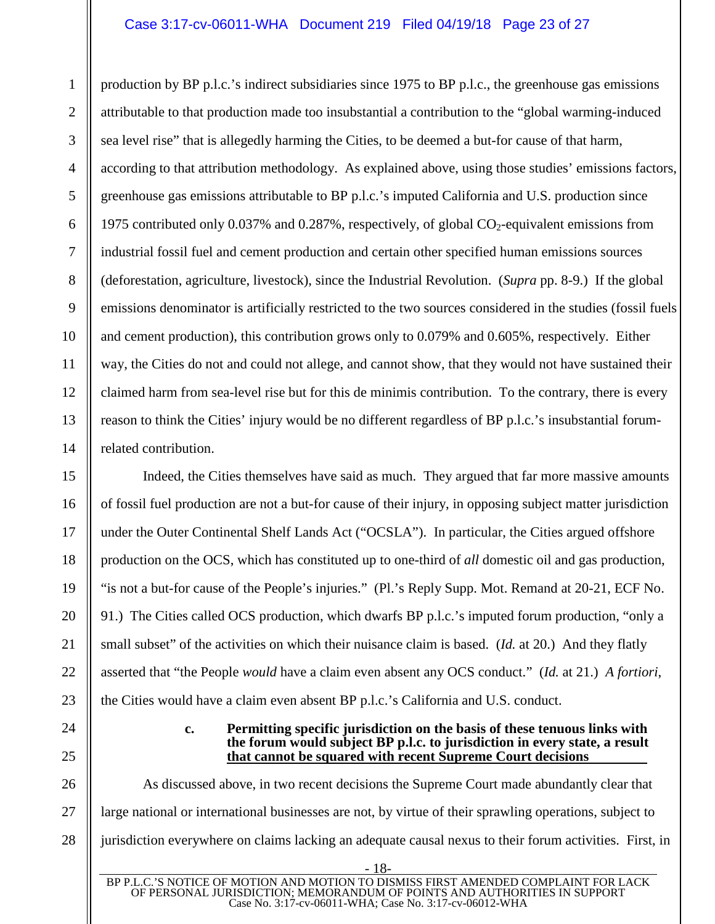# Case 3:17-cv-06011-WHA Document 219 Filed 04/19/18 Page 23 of 27

production by BP p.l.c.'s indirect subsidiaries since 1975 to BP p.l.c., the greenhouse gas emissions attributable to that production made too insubstantial a contribution to the "global warming-induced sea level rise" that is allegedly harming the Cities, to be deemed a but-for cause of that harm, according to that attribution methodology. As explained above, using those studies' emissions factors, greenhouse gas emissions attributable to BP p.l.c.'s imputed California and U.S. production since 1975 contributed only 0.037% and 0.287%, respectively, of global  $CO_2$ -equivalent emissions from industrial fossil fuel and cement production and certain other specified human emissions sources (deforestation, agriculture, livestock), since the Industrial Revolution. (*Supra* pp. 8-9.) If the global emissions denominator is artificially restricted to the two sources considered in the studies (fossil fuels and cement production), this contribution grows only to 0.079% and 0.605%, respectively. Either way, the Cities do not and could not allege, and cannot show, that they would not have sustained their claimed harm from sea-level rise but for this de minimis contribution. To the contrary, there is every reason to think the Cities' injury would be no different regardless of BP p.l.c.'s insubstantial forumrelated contribution.

Indeed, the Cities themselves have said as much. They argued that far more massive amounts of fossil fuel production are not a but-for cause of their injury, in opposing subject matter jurisdiction under the Outer Continental Shelf Lands Act ("OCSLA"). In particular, the Cities argued offshore production on the OCS, which has constituted up to one-third of *all* domestic oil and gas production, "is not a but-for cause of the People's injuries." (Pl.'s Reply Supp. Mot. Remand at 20-21, ECF No. 91.) The Cities called OCS production, which dwarfs BP p.l.c.'s imputed forum production, "only a small subset" of the activities on which their nuisance claim is based. (*Id.* at 20.) And they flatly asserted that "the People *would* have a claim even absent any OCS conduct." (*Id.* at 21.) *A fortiori*, the Cities would have a claim even absent BP p.l.c.'s California and U.S. conduct.

> **c. Permitting specific jurisdiction on the basis of these tenuous links with the forum would subject BP p.l.c. to jurisdiction in every state, a result that cannot be squared with recent Supreme Court decisions**

As discussed above, in two recent decisions the Supreme Court made abundantly clear that large national or international businesses are not, by virtue of their sprawling operations, subject to jurisdiction everywhere on claims lacking an adequate causal nexus to their forum activities. First, in

- 18-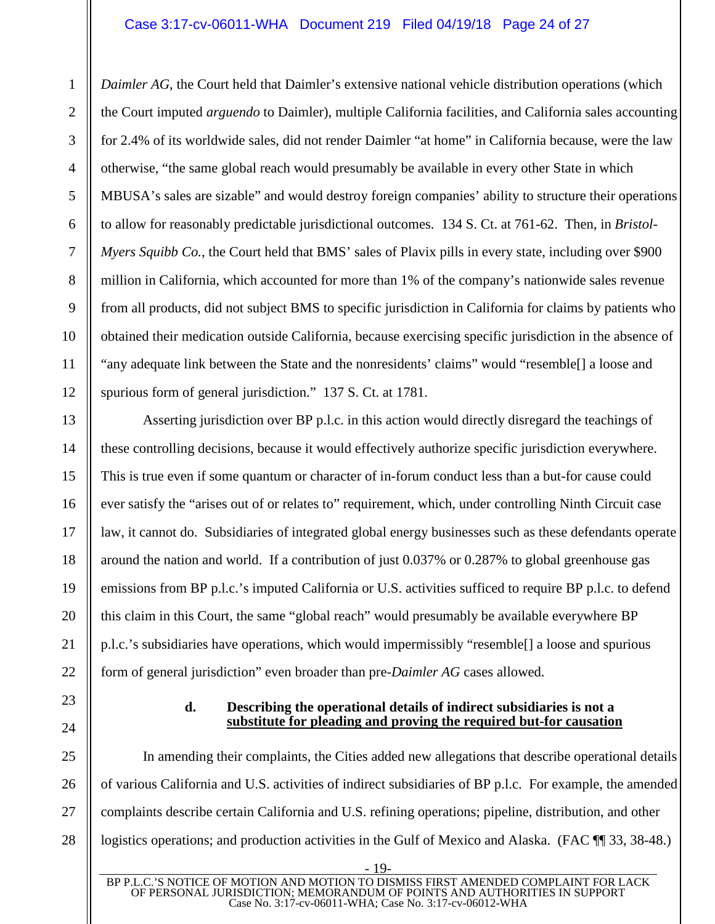# Case 3:17-cv-06011-WHA Document 219 Filed 04/19/18 Page 24 of 27

*Daimler AG*, the Court held that Daimler's extensive national vehicle distribution operations (which the Court imputed *arguendo* to Daimler), multiple California facilities, and California sales accounting for 2.4% of its worldwide sales, did not render Daimler "at home" in California because, were the law otherwise, "the same global reach would presumably be available in every other State in which MBUSA's sales are sizable" and would destroy foreign companies' ability to structure their operations to allow for reasonably predictable jurisdictional outcomes. 134 S. Ct. at 761-62. Then, in *Bristol-Myers Squibb Co.*, the Court held that BMS' sales of Plavix pills in every state, including over \$900 million in California, which accounted for more than 1% of the company's nationwide sales revenue from all products, did not subject BMS to specific jurisdiction in California for claims by patients who obtained their medication outside California, because exercising specific jurisdiction in the absence of "any adequate link between the State and the nonresidents' claims" would "resemble[] a loose and spurious form of general jurisdiction." 137 S. Ct. at 1781.

Asserting jurisdiction over BP p.l.c. in this action would directly disregard the teachings of these controlling decisions, because it would effectively authorize specific jurisdiction everywhere. This is true even if some quantum or character of in-forum conduct less than a but-for cause could ever satisfy the "arises out of or relates to" requirement, which, under controlling Ninth Circuit case law, it cannot do. Subsidiaries of integrated global energy businesses such as these defendants operate around the nation and world. If a contribution of just 0.037% or 0.287% to global greenhouse gas emissions from BP p.l.c.'s imputed California or U.S. activities sufficed to require BP p.l.c. to defend this claim in this Court, the same "global reach" would presumably be available everywhere BP p.l.c.'s subsidiaries have operations, which would impermissibly "resemble[] a loose and spurious form of general jurisdiction" even broader than pre-*Daimler AG* cases allowed.

23

24

25

26

27

28

22

1

 $\mathfrak{D}$ 

3

4

5

6

7

8

9

10

11

12

13

14

15

16

17

18

19

20

21

## **d. Describing the operational details of indirect subsidiaries is not a substitute for pleading and proving the required but-for causation**

In amending their complaints, the Cities added new allegations that describe operational details of various California and U.S. activities of indirect subsidiaries of BP p.l.c. For example, the amended complaints describe certain California and U.S. refining operations; pipeline, distribution, and other logistics operations; and production activities in the Gulf of Mexico and Alaska. (FAC  $\P$  33, 38-48.)

<sup>- 19-</sup>  BP P.L.C.'S NOTICE OF MOTION AND MOTION TO DISMISS FIRST AMENDED COMPLAINT FOR LACK OF PERSONAL JURISDICTION; MEMORANDUM OF POINTS AND AUTHORITIES IN SUPPORT Case No. 3:17-cv-06011-WHA; Case No. 3:17-cv-06012-WHA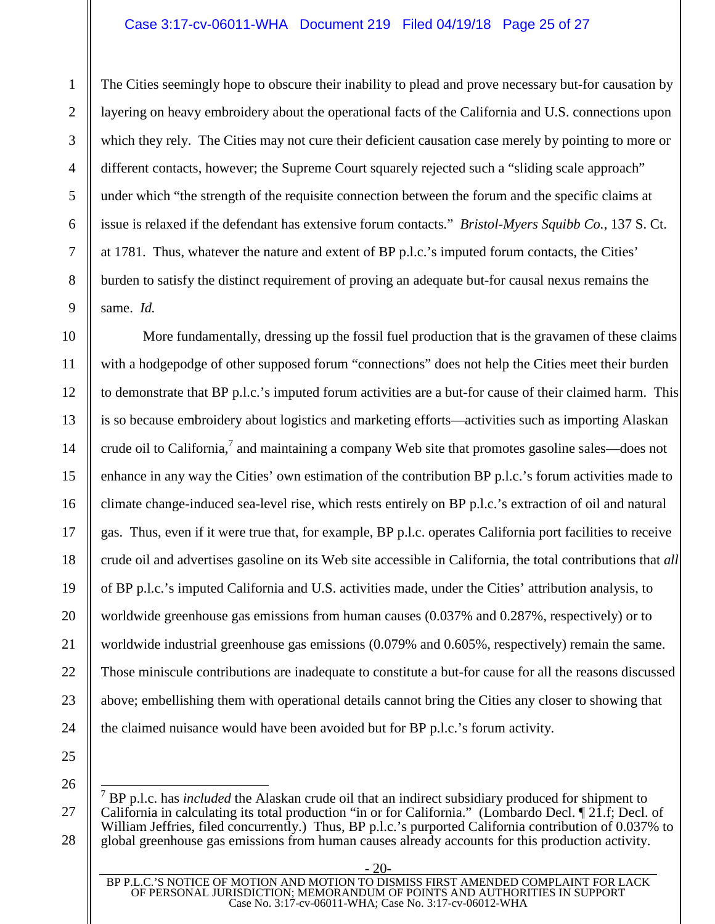#### Case 3:17-cv-06011-WHA Document 219 Filed 04/19/18 Page 25 of 27

The Cities seemingly hope to obscure their inability to plead and prove necessary but-for causation by layering on heavy embroidery about the operational facts of the California and U.S. connections upon which they rely. The Cities may not cure their deficient causation case merely by pointing to more or different contacts, however; the Supreme Court squarely rejected such a "sliding scale approach" under which "the strength of the requisite connection between the forum and the specific claims at issue is relaxed if the defendant has extensive forum contacts." *Bristol-Myers Squibb Co.*, 137 S. Ct. at 1781. Thus, whatever the nature and extent of BP p.l.c.'s imputed forum contacts, the Cities' burden to satisfy the distinct requirement of proving an adequate but-for causal nexus remains the same. *Id.*

More fundamentally, dressing up the fossil fuel production that is the gravamen of these claims with a hodgepodge of other supposed forum "connections" does not help the Cities meet their burden to demonstrate that BP p.l.c.'s imputed forum activities are a but-for cause of their claimed harm. This is so because embroidery about logistics and marketing efforts—activities such as importing Alaskan crude oil to California,<sup>7</sup> and maintaining a company Web site that promotes gasoline sales—does not enhance in any way the Cities' own estimation of the contribution BP p.l.c.'s forum activities made to climate change-induced sea-level rise, which rests entirely on BP p.l.c.'s extraction of oil and natural gas. Thus, even if it were true that, for example, BP p.l.c. operates California port facilities to receive crude oil and advertises gasoline on its Web site accessible in California, the total contributions that *all* of BP p.l.c.'s imputed California and U.S. activities made, under the Cities' attribution analysis, to worldwide greenhouse gas emissions from human causes (0.037% and 0.287%, respectively) or to worldwide industrial greenhouse gas emissions (0.079% and 0.605%, respectively) remain the same. Those miniscule contributions are inadequate to constitute a but-for cause for all the reasons discussed above; embellishing them with operational details cannot bring the Cities any closer to showing that the claimed nuisance would have been avoided but for BP p.l.c.'s forum activity.

25 26

27

28

1

 $\mathfrak{D}$ 

3

4

5

6

7

8

9

10

11

12

13

14

15

16

17

18

19

20

21

22

<sup>7</sup> BP p.l.c. has *included* the Alaskan crude oil that an indirect subsidiary produced for shipment to California in calculating its total production "in or for California." (Lombardo Decl. ¶ 21.f; Decl. of William Jeffries, filed concurrently.) Thus, BP p.l.c.'s purported California contribution of 0.037% to global greenhouse gas emissions from human causes already accounts for this production activity.

<sup>&</sup>lt;u>- 20-</u> BP P.L.C.'S NOTICE OF MOTION AND MOTION TO DISMISS FIRST AMENDED COMPLAINT FOR LACK OF PERSONAL JURISDICTION; MEMORANDUM OF POINTS AND AUTHORITIES IN SUPPORT Case No. 3:17-cv-06011-WHA; Case No. 3:17-cv-06012-WHA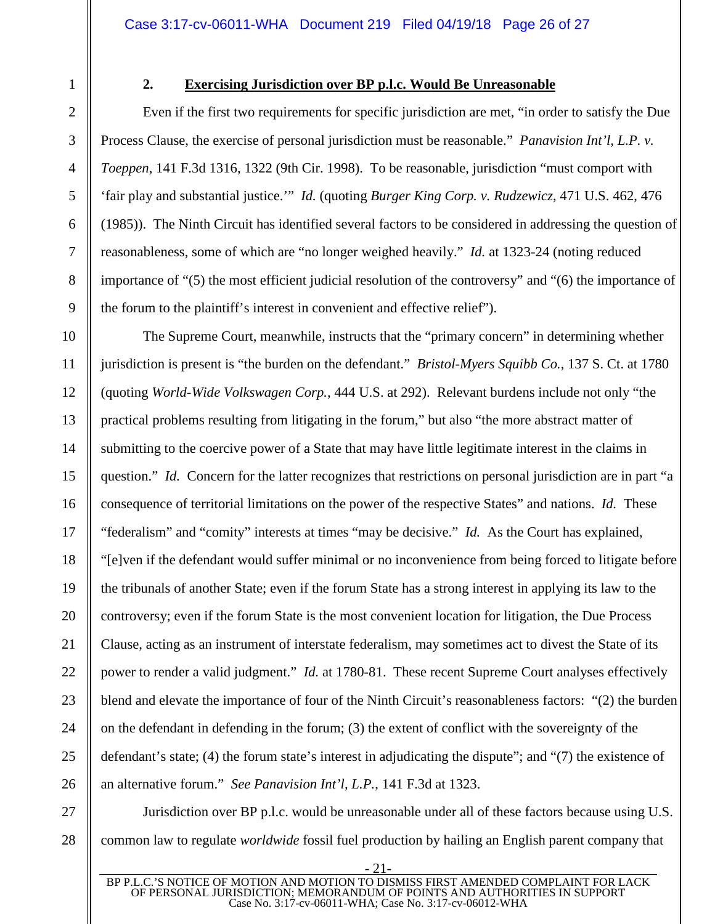# **2. Exercising Jurisdiction over BP p.l.c. Would Be Unreasonable**

Even if the first two requirements for specific jurisdiction are met, "in order to satisfy the Due Process Clause, the exercise of personal jurisdiction must be reasonable." *Panavision Int'l, L.P. v. Toeppen*, 141 F.3d 1316, 1322 (9th Cir. 1998). To be reasonable, jurisdiction "must comport with 'fair play and substantial justice.'" *Id.* (quoting *Burger King Corp. v. Rudzewicz*, 471 U.S. 462, 476 (1985)). The Ninth Circuit has identified several factors to be considered in addressing the question of reasonableness, some of which are "no longer weighed heavily." *Id.* at 1323-24 (noting reduced importance of "(5) the most efficient judicial resolution of the controversy" and "(6) the importance of the forum to the plaintiff's interest in convenient and effective relief").

The Supreme Court, meanwhile, instructs that the "primary concern" in determining whether jurisdiction is present is "the burden on the defendant." *Bristol-Myers Squibb Co.*, 137 S. Ct. at 1780 (quoting *World-Wide Volkswagen Corp.,* 444 U.S. at 292). Relevant burdens include not only "the practical problems resulting from litigating in the forum," but also "the more abstract matter of submitting to the coercive power of a State that may have little legitimate interest in the claims in question." *Id.* Concern for the latter recognizes that restrictions on personal jurisdiction are in part "a consequence of territorial limitations on the power of the respective States" and nations. *Id.* These "federalism" and "comity" interests at times "may be decisive." *Id.* As the Court has explained, "[e]ven if the defendant would suffer minimal or no inconvenience from being forced to litigate before the tribunals of another State; even if the forum State has a strong interest in applying its law to the controversy; even if the forum State is the most convenient location for litigation, the Due Process Clause, acting as an instrument of interstate federalism, may sometimes act to divest the State of its power to render a valid judgment." *Id.* at 1780-81. These recent Supreme Court analyses effectively blend and elevate the importance of four of the Ninth Circuit's reasonableness factors: "(2) the burden on the defendant in defending in the forum; (3) the extent of conflict with the sovereignty of the defendant's state; (4) the forum state's interest in adjudicating the dispute"; and "(7) the existence of an alternative forum." *See Panavision Int'l, L.P.*, 141 F.3d at 1323.

Jurisdiction over BP p.l.c. would be unreasonable under all of these factors because using U.S. common law to regulate *worldwide* fossil fuel production by hailing an English parent company that